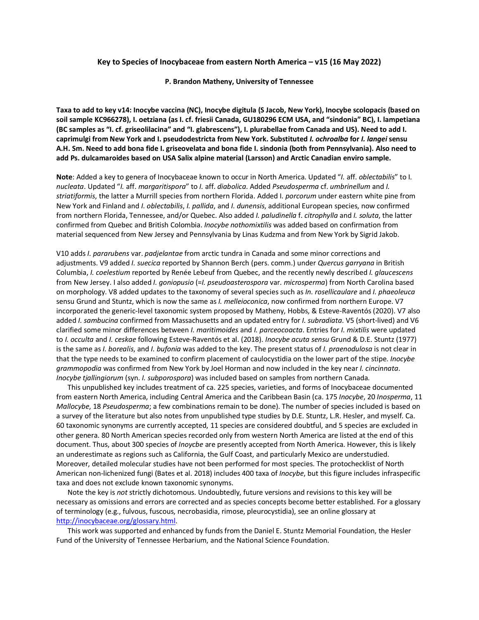## **Key to Species of Inocybaceae from eastern North America – v15 (16 May 2022)**

#### **P. Brandon Matheny, University of Tennessee**

**Taxa to add to key v14: Inocybe vaccina (NC), Inocybe digitula (S Jacob, New York), Inocybe scolopacis (based on soil sample KC966278), I. oetziana (as I. cf. friesii Canada, GU180296 ECM USA, and "sindonia" BC), I. lampetiana (BC samples as "I. cf. griseolilacina" and "I. glabrescens"), I. plurabellae from Canada and US). Need to add I. caprimulgi from New York and I. pseudodestricta from New York. Substituted** *I. ochroalba* **for** *I. langei* **sensu A.H. Sm. Need to add bona fide I. griseovelata and bona fide I. sindonia (both from Pennsylvania). Also need to add Ps. dulcamaroides based on USA Salix alpine material (Larsson) and Arctic Canadian enviro sample.**

**Note**: Added a key to genera of Inocybaceae known to occur in North America. Updated "*I.* aff. *oblectabilis*" to I*. nucleata*. Updated "*I.* aff. *margaritispora*" to *I.* aff. *diabolica*. Added *Pseudosperma* cf. *umbrinellum* and *I. striatiformis*, the latter a Murrill species from northern Florida. Added I*. porcorum* under eastern white pine from New York and Finland and *I. oblectabilis*, *I. pallida*, and *I. dunensis*, additional European species, now confirmed from northern Florida, Tennessee, and/or Quebec. Also added *I. paludinella* f. *citrophylla* and *I. soluta*, the latter confirmed from Quebec and British Colombia. *Inocybe nothomixtilis* was added based on confirmation from material sequenced from New Jersey and Pennsylvania by Linas Kudzma and from New York by Sigrid Jakob.

V10 adds *I. pararubens* var. *padjelantae* from arctic tundra in Canada and some minor corrections and adjustments. V9 added *I. suecica* reported by Shannon Berch (pers. comm.) under *Quercus garryana* in British Columbia, *I. coelestium* reported by Renée Lebeuf from Quebec, and the recently newly described *I. glaucescens*  from New Jersey. I also added *I. goniopusio* (=*I. pseudoasterospora* var. *microsperma*) from North Carolina based on morphology. V8 added updates to the taxonomy of several species such as *In. rosellicaulare* and *I. phaeoleuca*  sensu Grund and Stuntz, which is now the same as *I. melleioconica*, now confirmed from northern Europe. V7 incorporated the generic-level taxonomic system proposed by Matheny, Hobbs, & Esteve-Raventós (2020). V7 also added *I. sambucina* confirmed from Massachusetts and an updated entry for *I. subradiata*. V5 (short-lived) and V6 clarified some minor differences between *I. maritimoides* and *I. parceocoacta*. Entries for *I. mixtilis* were updated to *I. occulta* and *I. ceskae* following Esteve-Raventós et al. (2018). *Inocybe acuta sensu* Grund & D.E. Stuntz (1977) is the same as *I. borealis*, and *I. bufonia* was added to the key. The present status of *I. praenodulosa* is not clear in that the type needs to be examined to confirm placement of caulocystidia on the lower part of the stipe. *Inocybe grammopodia* was confirmed from New York by Joel Horman and now included in the key near *I. cincinnata*. *Inocybe tjallingiorum* (syn. *I. subporospora*) was included based on samples from northern Canada.

This unpublished key includes treatment of ca. 225 species, varieties, and forms of Inocybaceae documented from eastern North America, including Central America and the Caribbean Basin (ca. 175 *Inocybe*, 20 *Inosperma*, 11 *Mallocybe*, 18 *Pseudosperma*; a few combinations remain to be done). The number of species included is based on a survey of the literature but also notes from unpublished type studies by D.E. Stuntz, L.R. Hesler, and myself. Ca. 60 taxonomic synonyms are currently accepted, 11 species are considered doubtful, and 5 species are excluded in other genera. 80 North American species recorded only from western North America are listed at the end of this document. Thus, about 300 species of *Inoycbe* are presently accepted from North America. However, this is likely an underestimate as regions such as California, the Gulf Coast, and particularly Mexico are understudied. Moreover, detailed molecular studies have not been performed for most species. The protochecklist of North American non-lichenized fungi (Bates et al. 2018) includes 400 taxa of *Inocybe*, but this figure includes infraspecific taxa and does not exclude known taxonomic synonyms.

Note the key is *not* strictly dichotomous. Undoubtedly, future versions and revisions to this key will be necessary as omissions and errors are corrected and as species concepts become better established. For a glossary of terminology (e.g., fulvous, fuscous, necrobasidia, rimose, pleurocystidia), see an online glossary at http://inocybaceae.org/glossary.html.

This work was supported and enhanced by funds from the Daniel E. Stuntz Memorial Foundation, the Hesler Fund of the University of Tennessee Herbarium, and the National Science Foundation.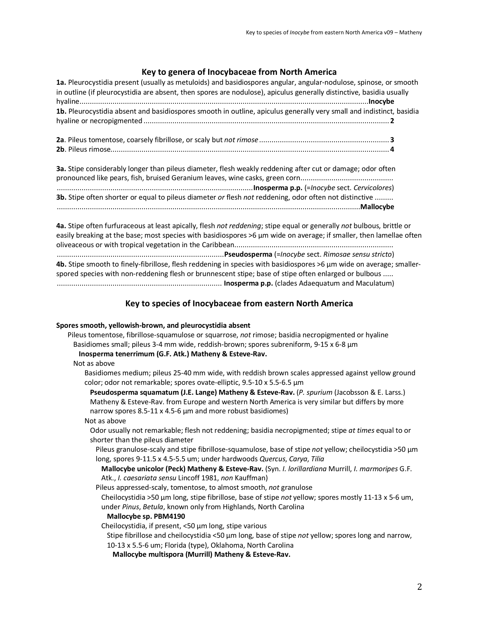# **Key to genera of Inocybaceae from North America**

| 1a. Pleurocystidia present (usually as metuloids) and basidiospores angular, angular-nodulose, spinose, or smooth<br>in outline (if pleurocystidia are absent, then spores are nodulose), apiculus generally distinctive, basidia usually |  |
|-------------------------------------------------------------------------------------------------------------------------------------------------------------------------------------------------------------------------------------------|--|
| 1b. Pleurocystidia absent and basidiospores smooth in outline, apiculus generally very small and indistinct, basidia                                                                                                                      |  |
|                                                                                                                                                                                                                                           |  |
|                                                                                                                                                                                                                                           |  |
| 3a. Stipe considerably longer than pileus diameter, flesh weakly reddening after cut or damage; odor often                                                                                                                                |  |

**3b.** Stipe often shorter or equal to pileus diameter *or* flesh *not* reddening, odor often not distinctive ......... ...................................................................................................................................................**Mallocybe**

**4a.** Stipe often furfuraceous at least apically, flesh *not reddening*; stipe equal or generally *not* bulbous, brittle or easily breaking at the base; most species with basidiospores >6 µm wide on average; if smaller, then lamellae often oliveaceous or with tropical vegetation in the Caribbean.............................................................................

.................................................................................**Pseudosperma** (=*Inocybe* sect. *Rimosae sensu stricto*) **4b.** Stipe smooth to finely-fibrillose, flesh reddening in species with basidiospores >6 µm wide on average; smallerspored species with non-reddening flesh or brunnescent stipe; base of stipe often enlarged or bulbous ..... ................................................................................ **Inosperma p.p.** (clades Adaequatum and Maculatum)

# **Key to species of Inocybaceae from eastern North America**

# **Spores smooth, yellowish-brown, and pleurocystidia absent**

| Pileus tomentose, fibrillose-squamulose or squarrose, not rimose; basidia necropigmented or hyaline                                                                                                                                                             |
|-----------------------------------------------------------------------------------------------------------------------------------------------------------------------------------------------------------------------------------------------------------------|
| Basidiomes small; pileus 3-4 mm wide, reddish-brown; spores subreniform, 9-15 x 6-8 μm                                                                                                                                                                          |
| Inosperma tenerrimum (G.F. Atk.) Matheny & Esteve-Rav.                                                                                                                                                                                                          |
| Not as above                                                                                                                                                                                                                                                    |
| Basidiomes medium; pileus 25-40 mm wide, with reddish brown scales appressed against yellow ground<br>color; odor not remarkable; spores ovate-elliptic, 9.5-10 x 5.5-6.5 µm                                                                                    |
| Pseudosperma squamatum (J.E. Lange) Matheny & Esteve-Rav. (P. spurium (Jacobsson & E. Larss.)<br>Matheny & Esteve-Rav. from Europe and western North America is very similar but differs by more<br>narrow spores 8.5-11 x 4.5-6 µm and more robust basidiomes) |
| Not as above                                                                                                                                                                                                                                                    |
| Odor usually not remarkable; flesh not reddening; basidia necropigmented; stipe at times equal to or<br>shorter than the pileus diameter                                                                                                                        |
| Pileus granulose-scaly and stipe fibrillose-squamulose, base of stipe not yellow; cheilocystidia >50 µm<br>long, spores 9-11.5 x 4.5-5.5 um; under hardwoods Quercus, Carya, Tilia                                                                              |
| Mallocybe unicolor (Peck) Matheny & Esteve-Rav. (Syn. I. lorillardiana Murrill, I. marmoripes G.F.<br>Atk., I. caesariata sensu Lincoff 1981, non Kauffman)                                                                                                     |
| Pileus appressed-scaly, tomentose, to almost smooth, not granulose                                                                                                                                                                                              |
| Cheilocystidia >50 µm long, stipe fibrillose, base of stipe not yellow; spores mostly 11-13 x 5-6 um,<br>under Pinus, Betula, known only from Highlands, North Carolina                                                                                         |
| Mallocybe sp. PBM4190                                                                                                                                                                                                                                           |
| Cheilocystidia, if present, <50 µm long, stipe various                                                                                                                                                                                                          |
| Stipe fibrillose and cheilocystidia <50 μm long, base of stipe not yellow; spores long and narrow,                                                                                                                                                              |
| 10-13 x 5.5-6 um; Florida (type), Oklahoma, North Carolina                                                                                                                                                                                                      |
| Mallocybe multispora (Murrill) Matheny & Esteve-Rav.                                                                                                                                                                                                            |
|                                                                                                                                                                                                                                                                 |
|                                                                                                                                                                                                                                                                 |
|                                                                                                                                                                                                                                                                 |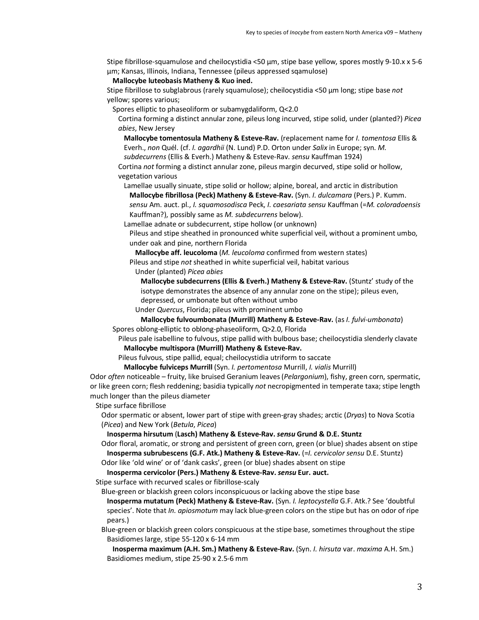Stipe fibrillose-squamulose and cheilocystidia <50 µm, stipe base yellow, spores mostly 9-10.x x 5-6 µm; Kansas, Illinois, Indiana, Tennessee (pileus appressed sqamulose)

**Mallocybe luteobasis Matheny & Kuo ined.**

Stipe fibrillose to subglabrous (rarely squamulose); cheilocystidia <50 µm long; stipe base *not* yellow; spores various;

Spores elliptic to phaseoliform or subamygdaliform, Q<2.0

Cortina forming a distinct annular zone, pileus long incurved, stipe solid, under (planted?) *Picea abies*, New Jersey

**Mallocybe tomentosula Matheny & Esteve-Rav.** (replacement name for *I. tomentosa* Ellis & Everh., *non* Quél. (cf. *I. agardhii* (N. Lund) P.D. Orton under *Salix* in Europe; syn. *M.* 

*subdecurrens* (Ellis & Everh.) Matheny & Esteve-Rav. *sensu* Kauffman 1924)

Cortina *not* forming a distinct annular zone, pileus margin decurved, stipe solid or hollow, vegetation various

Lamellae usually sinuate, stipe solid or hollow; alpine, boreal, and arctic in distribution **Mallocybe fibrillosa (Peck) Matheny & Esteve-Rav.** (Syn. *I. dulcamara* (Pers.) P. Kumm. *sensu* Am. auct. pl., *I. squamosodisca* Peck, *I. caesariata sensu* Kauffman (=*M. coloradoensis*  Kauffman?), possibly same as *M. subdecurrens* below).

Lamellae adnate or subdecurrent, stipe hollow (or unknown)

Pileus and stipe sheathed in pronounced white superficial veil, without a prominent umbo, under oak and pine, northern Florida

**Mallocybe aff. leucoloma** (*M. leucoloma* confirmed from western states)

Pileus and stipe *not* sheathed in white superficial veil, habitat various

Under (planted) *Picea abies*

**Mallocybe subdecurrens (Ellis & Everh.) Matheny & Esteve-Rav.** (Stuntz' study of the isotype demonstrates the absence of any annular zone on the stipe); pileus even, depressed, or umbonate but often without umbo

Under *Quercus*, Florida; pileus with prominent umbo

**Mallocybe fulvoumbonata (Murrill) Matheny & Esteve-Rav.** (as *I. fulvi*-*umbonata*) Spores oblong-elliptic to oblong-phaseoliform, Q>2.0, Florida

Pileus pale isabelline to fulvous, stipe pallid with bulbous base; cheilocystidia slenderly clavate **Mallocybe multispora (Murrill) Matheny & Esteve-Rav.**

Pileus fulvous, stipe pallid, equal; cheilocystidia utriform to saccate

**Mallocybe fulviceps Murrill** (Syn. *I. pertomentosa* Murrill, *I. vialis* Murrill)

Odor *often* noticeable – fruity, like bruised Geranium leaves (*Pelargonium*), fishy, green corn, spermatic, or like green corn; flesh reddening; basidia typically *not* necropigmented in temperate taxa; stipe length much longer than the pileus diameter

Stipe surface fibrillose

Odor spermatic or absent, lower part of stipe with green-gray shades; arctic (*Dryas*) to Nova Scotia (*Picea*) and New York (*Betula*, *Picea*)

**Inosperma hirsutum** (**Lasch) Matheny & Esteve-Rav.** *sensu* **Grund & D.E. Stuntz**

Odor floral, aromatic, or strong and persistent of green corn, green (or blue) shades absent on stipe **Inosperma subrubescens (G.F. Atk.) Matheny & Esteve-Rav.** (=*I. cervicolor sensu* D.E. Stuntz)

Odor like 'old wine' or of 'dank casks', green (or blue) shades absent on stipe **Inosperma cervicolor (Pers.) Matheny & Esteve-Rav.** *sensu* **Eur. auct.**

Stipe surface with recurved scales or fibrillose-scaly

Blue-green or blackish green colors inconspicuous or lacking above the stipe base

**Inosperma mutatum (Peck) Matheny & Esteve-Rav.** (Syn. *I. leptocystella* G.F. Atk.? See 'doubtful species'. Note that *In. apiosmotum* may lack blue-green colors on the stipe but has on odor of ripe pears.)

Blue-green or blackish green colors conspicuous at the stipe base, sometimes throughout the stipe Basidiomes large, stipe 55-120 x 6-14 mm

**Inosperma maximum (A.H. Sm.) Matheny & Esteve-Rav.** (Syn. *I. hirsuta* var. *maxima* A.H. Sm.) Basidiomes medium, stipe 25-90 x 2.5-6 mm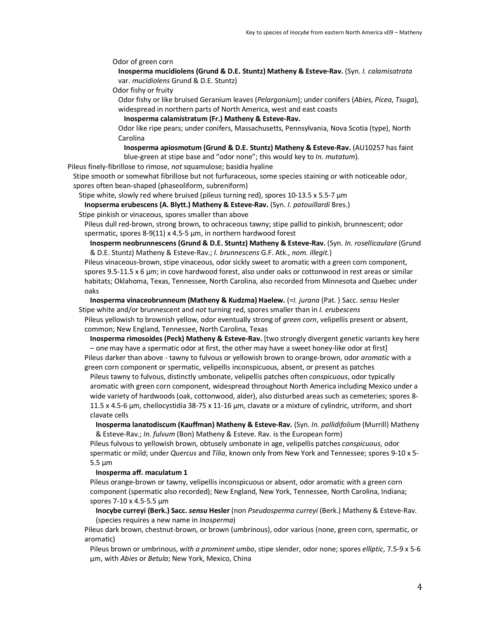Odor of green corn

**Inosperma mucidiolens (Grund & D.E. Stuntz) Matheny & Esteve-Rav.** (Syn. *I. calamisatrata*  var. *mucidiolens* Grund & D.E. Stuntz)

Odor fishy or fruity

Odor fishy or like bruised Geranium leaves (*Pelargonium*); under conifers (*Abies*, *Picea*, *Tsuga*), widespread in northern parts of North America, west and east coasts

**Inosperma calamistratum (Fr.) Matheny & Esteve-Rav.**

Odor like ripe pears; under conifers, Massachusetts, Pennsylvania, Nova Scotia (type), North Carolina

**Inosperma apiosmotum (Grund & D.E. Stuntz) Matheny & Esteve-Rav.** (AU10257 has faint blue-green at stipe base and "odor none"; this would key to *In. mutatum*).

Pileus finely-fibrillose to rimose, *not* squamulose; basidia hyaline

Stipe smooth or somewhat fibrillose but not furfuraceous, some species staining or with noticeable odor, spores often bean-shaped (phaseoliform, subreniform)

Stipe white, slowly red where bruised (pileus turning red), spores 10-13.5 x 5.5-7  $\mu$ m

**Inopserma erubescens (A. Blytt.) Matheny & Esteve-Rav.** (Syn. *I. patouillardi* Bres.)

Stipe pinkish or vinaceous, spores smaller than above

Pileus dull red-brown, strong brown, to ochraceous tawny; stipe pallid to pinkish, brunnescent; odor spermatic, spores 8-9(11) x 4.5-5 µm, in northern hardwood forest

**Inosperm neobrunnescens (Grund & D.E. Stuntz) Matheny & Esteve-Rav.** (Syn. *In. rosellicaulare* (Grund & D.E. Stuntz) Matheny & Esteve-Rav.; *I. brunnescens* G.F. Atk., *nom. illegit.*)

Pileus vinaceous-brown, stipe vinaceous, odor sickly sweet to aromatic with a green corn component, spores 9.5-11.5 x 6 µm; in cove hardwood forest, also under oaks or cottonwood in rest areas or similar habitats; Oklahoma, Texas, Tennessee, North Carolina, also recorded from Minnesota and Quebec under oaks

**Inosperma vinaceobrunneum (Matheny & Kudzma) Haelew.** (=*I. jurana* (Pat. ) Sacc. *sensu* Hesler Stipe white and/or brunnescent and *not* turning red, spores smaller than in *I. erubescens*

Pileus yellowish to brownish yellow, odor eventually strong of *green corn*, velipellis present or absent, common; New England, Tennessee, North Carolina, Texas

**Inosperma rimosoides (Peck) Matheny & Esteve-Rav.** [two strongly divergent genetic variants key here – one may have a spermatic odor at first, the other may have a sweet honey-like odor at first]

Pileus darker than above - tawny to fulvous or yellowish brown to orange-brown, odor *aromatic* with a green corn component or spermatic, velipellis inconspicuous, absent, or present as patches

Pileus tawny to fulvous, distinctly umbonate, velipellis patches often *conspicuous*, odor typically aromatic with green corn component, widespread throughout North America including Mexico under a wide variety of hardwoods (oak, cottonwood, alder), also disturbed areas such as cemeteries; spores 8- 11.5 x 4.5-6 µm, cheilocystidia 38-75 x 11-16 µm, clavate or a mixture of cylindric, utriform, and short clavate cells

**Inosperma lanatodiscum (Kauffman) Matheny & Esteve-Rav.** (Syn. *In. pallidifolium* (Murrill) Matheny & Esteve-Rav.; *In. fulvum* (Bon) Matheny & Esteve. Rav. is the European form)

Pileus fulvous to yellowish brown, obtusely umbonate in age, velipellis patches *conspicuous*, odor spermatic or mild; under *Quercus* and *Tilia*, known only from New York and Tennessee; spores 9-10 x 5- 5.5 µm

**Inosperma aff. maculatum 1**

Pileus orange-brown or tawny, velipellis inconspicuous or absent, odor aromatic with a green corn component (spermatic also recorded); New England, New York, Tennessee, North Carolina, Indiana; spores 7-10 x 4.5-5.5 µm

**Inocybe curreyi (Berk.) Sacc.** *sensu* **Hesler** (non *Pseudosperma curreyi* (Berk.) Matheny & Esteve-Rav. (species requires a new name in *Inosperma*)

Pileus dark brown, chestnut-brown, or brown (umbrinous), odor various (none, green corn, spermatic, or aromatic)

Pileus brown or umbrinous, *with a prominent umbo*, stipe slender, odor none; spores *elliptic*, 7.5-9 x 5-6 µm, with *Abies* or *Betula*; New York, Mexico, China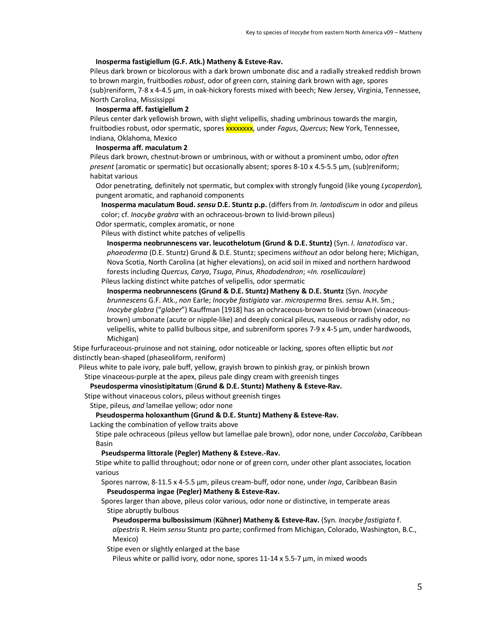### **Inosperma fastigiellum (G.F. Atk.) Matheny & Esteve-Rav.**

Pileus dark brown or bicolorous with a dark brown umbonate disc and a radially streaked reddish brown to brown margin, fruitbodies *robust*, odor of green corn, staining dark brown with age, spores (sub)reniform, 7-8 x 4-4.5 µm, in oak-hickory forests mixed with beech; New Jersey, Virginia, Tennessee, North Carolina, Mississippi

#### **Inosperma aff. fastigiellum 2**

Pileus center dark yellowish brown, with slight velipellis, shading umbrinous towards the margin, fruitbodies robust, odor spermatic, spores xxxxxxxx, under *Fagus*, *Quercus*; New York, Tennessee, Indiana, Oklahoma, Mexico

#### **Inosperma aff. maculatum 2**

Pileus dark brown, chestnut-brown or umbrinous, with or without a prominent umbo, odor *often present* (aromatic or spermatic) but occasionally absent; spores 8-10 x 4.5-5.5 µm, (sub)reniform; habitat various

Odor penetrating, definitely not spermatic, but complex with strongly fungoid (like young *Lycoperdon*), pungent aromatic, and raphanoid components

**Inosperma maculatum Boud.** *sensu* **D.E. Stuntz p.p.** (differs from *In. lantodiscum* in odor and pileus color; cf. *Inocybe grabra* with an ochraceous-brown to livid-brown pileus)

Odor spermatic, complex aromatic, or none

Pileus with distinct white patches of velipellis

**Inosperma neobrunnescens var. leucothelotum (Grund & D.E. Stuntz)** (Syn. *I. lanatodisca* var. *phaeoderma* (D.E. Stuntz) Grund & D.E. Stuntz; specimens *without* an odor belong here; Michigan, Nova Scotia, North Carolina (at higher elevations), on acid soil in mixed and northern hardwood forests including *Quercus*, *Carya*, *Tsuga*, *Pinus*, *Rhododendron*; =*In. rosellicaulare*)

Pileus lacking distinct white patches of velipellis, odor spermatic

**Inosperma neobrunnescens (Grund & D.E. Stuntz) Matheny & D.E. Stuntz** (Syn. *Inocybe brunnescens* G.F. Atk., *non* Earle; *Inocybe fastigiata* var. *microsperma* Bres. *sensu* A.H. Sm.; *Inocybe glabra* ("*glaber*") Kauffman [1918] has an ochraceous-brown to livid-brown (vinaceousbrown) umbonate (acute or nipple-like) and deeply conical pileus, nauseous or radishy odor, no velipellis, white to pallid bulbous sitpe, and subreniform spores 7-9 x 4-5 µm, under hardwoods, Michigan)

Stipe furfuraceous-pruinose and not staining, odor noticeable or lacking, spores often elliptic but *not* distinctly bean-shaped (phaseoliform, reniform)

Pileus white to pale ivory, pale buff, yellow, grayish brown to pinkish gray, or pinkish brown

Stipe vinaceous-purple at the apex, pileus pale dingy cream with greenish tinges

# **Pseudosperma vinosistipitatum** (**Grund & D.E. Stuntz) Matheny & Esteve-Rav.**

Stipe without vinaceous colors, pileus without greenish tinges

Stipe, pileus, *and* lamellae yellow; odor none

## **Pseudosperma holoxanthum (Grund & D.E. Stuntz) Matheny & Esteve-Rav.**

Lacking the combination of yellow traits above

Stipe pale ochraceous (pileus yellow but lamellae pale brown), odor none, under *Coccoloba*, Caribbean Basin

# **Pseudsperma littorale (Pegler) Matheny & Esteve.-Rav.**

Stipe white to pallid throughout; odor none or of green corn, under other plant associates, location various

Spores narrow, 8-11.5 x 4-5.5 µm, pileus cream-buff, odor none, under *Inga*, Caribbean Basin **Pseudosperma ingae (Pegler) Matheny & Esteve-Rav.**

Spores larger than above, pileus color various, odor none or distinctive, in temperate areas Stipe abruptly bulbous

**Pseudosperma bulbosissimum** (**Kühner) Matheny & Esteve-Rav.** (Syn. *Inocybe fastigiata* f.

*alpestris* R. Heim *sensu* Stuntz pro parte; confirmed from Michigan, Colorado, Washington, B.C., Mexico)

Stipe even or slightly enlarged at the base

Pileus white or pallid ivory, odor none, spores 11-14 x 5.5-7 µm, in mixed woods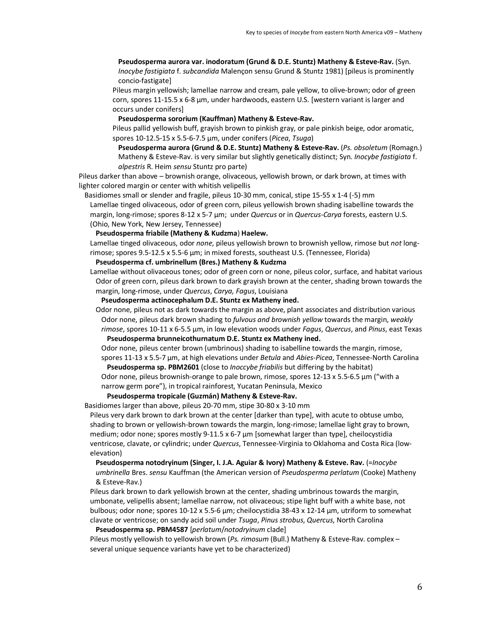**Pseudosperma aurora var. inodoratum (Grund & D.E. Stuntz) Matheny & Esteve-Rav.** (Syn. *Inocybe fastigiata* f. *subcandida* Malençon sensu Grund & Stuntz 1981) [pileus is prominently concio-fastigate]

Pileus margin yellowish; lamellae narrow and cream, pale yellow, to olive-brown; odor of green corn, spores 11-15.5 x 6-8 µm, under hardwoods, eastern U.S. [western variant is larger and occurs under conifers]

**Pseudosperma sororium (Kauffman) Matheny & Esteve-Rav.**

Pileus pallid yellowish buff, grayish brown to pinkish gray, or pale pinkish beige, odor aromatic, spores 10-12.5-15 x 5.5-6-7.5 µm, under conifers (*Picea*, *Tsuga*)

**Pseudosperma aurora (Grund & D.E. Stuntz) Matheny & Esteve-Rav.** (*Ps. obsoletum* (Romagn.) Matheny & Esteve-Rav. is very similar but slightly genetically distinct; Syn. *Inocybe fastigiata* f. *alpestris* R. Heim *sensu* Stuntz pro parte)

Pileus darker than above – brownish orange, olivaceous, yellowish brown, or dark brown, at times with lighter colored margin or center with whitish velipellis

Basidiomes small or slender and fragile, pileus 10-30 mm, conical, stipe 15-55 x 1-4 (-5) mm Lamellae tinged olivaceous, odor of green corn, pileus yellowish brown shading isabelline towards the margin, long-rimose; spores 8-12 x 5-7 µm; under *Quercus* or in *Quercus*-*Carya* forests, eastern U.S. (Ohio, New York, New Jersey, Tennessee)

#### **Pseudosperma friabile (Matheny & Kudzma**) **Haelew.**

Lamellae tinged olivaceous, odor *none*, pileus yellowish brown to brownish yellow, rimose but *not* longrimose; spores 9.5-12.5 x 5.5-6 µm; in mixed forests, southeast U.S. (Tennessee, Florida)

### **Pseudosperma cf. umbrinellum (Bres.) Matheny & Kudzma**

Lamellae without olivaceous tones; odor of green corn or none, pileus color, surface, and habitat various Odor of green corn, pileus dark brown to dark grayish brown at the center, shading brown towards the margin, long-rimose, under *Quercus*, *Carya, Fagus*, Louisiana

**Pseudosperma actinocephalum D.E. Stuntz ex Matheny ined.**

Odor none, pileus not as dark towards the margin as above, plant associates and distribution various Odor none, pileus dark brown shading to *fulvous and brownish yellow* towards the margin, *weakly rimose*, spores 10-11 x 6-5.5 µm, in low elevation woods under *Fagus*, *Quercus*, and *Pinus*, east Texas

**Pseudosperma brunneicothurnatum D.E. Stuntz ex Matheny ined.**

Odor none, pileus center brown (umbrinous) shading to isabelline towards the margin, rimose, spores 11-13 x 5.5-7 µm, at high elevations under *Betula* and *Abies-Picea*, Tennessee-North Carolina

**Pseudosperma sp. PBM2601** (close to *Inoccybe friabilis* but differing by the habitat) Odor none, pileus brownish-orange to pale brown, rimose, spores  $12{\text -}13 \times 5{\text -}5{\text -}5.5$   $\mu$ m ("with a narrow germ pore"), in tropical rainforest, Yucatan Peninsula, Mexico

# **Pseudosperma tropicale (Guzmán) Matheny & Esteve-Rav.**

Basidiomes larger than above, pileus 20-70 mm, stipe 30-80 x 3-10 mm

Pileus very dark brown to dark brown at the center [darker than type], with acute to obtuse umbo, shading to brown or yellowish-brown towards the margin, long-rimose; lamellae light gray to brown, medium; odor none; spores mostly 9-11.5 x 6-7  $\mu$ m [somewhat larger than type], cheilocystidia ventricose, clavate, or cylindric; under *Quercus*, Tennessee-Virginia to Oklahoma and Costa Rica (lowelevation)

**Pseudosperma notodryinum (Singer, I. J.A. Aguiar & Ivory) Matheny & Esteve. Rav.** (=*Inocybe umbrinella* Bres. *sensu* Kauffman (the American version of *Pseudosperma perlatum* (Cooke) Matheny & Esteve-Rav.)

Pileus dark brown to dark yellowish brown at the center, shading umbrinous towards the margin, umbonate, velipellis absent; lamellae narrow, not olivaceous; stipe light buff with a white base, not bulbous; odor none; spores 10-12 x 5.5-6 µm; cheilocystidia 38-43 x 12-14 µm, utriform to somewhat clavate or ventricose; on sandy acid soil under *Tsuga*, *Pinus strobus*, *Quercus*, North Carolina

### **Pseudosperma sp. PBM4587** [*perlatum*/*notodryinum* clade]

Pileus mostly yellowish to yellowish brown (*Ps. rimosum* (Bull.) Matheny & Esteve-Rav. complex – several unique sequence variants have yet to be characterized)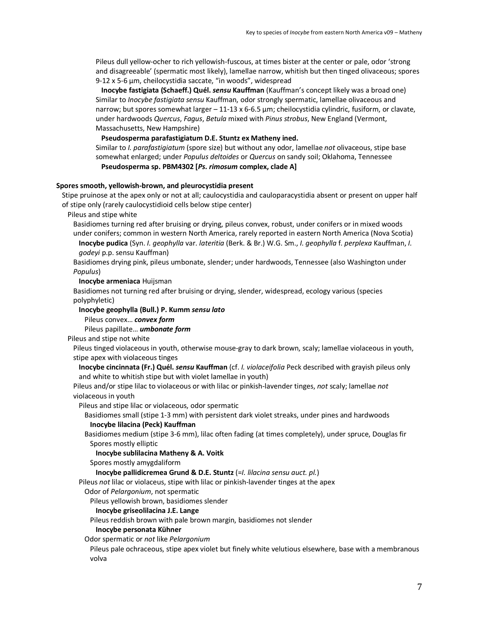Pileus dull yellow-ocher to rich yellowish-fuscous, at times bister at the center or pale, odor 'strong and disagreeable' (spermatic most likely), lamellae narrow, whitish but then tinged olivaceous; spores 9-12 x 5-6 µm, cheilocystidia saccate, "in woods", widespread

**Inocybe fastigiata (Schaeff.) Quél.** *sensu* **Kauffman** (Kauffman's concept likely was a broad one) Similar to *Inocybe fastigiata sensu* Kauffman, odor strongly spermatic, lamellae olivaceous and narrow; but spores somewhat larger – 11-13 x 6-6.5 µm; cheilocystidia cylindric, fusiform, or clavate, under hardwoods *Quercus*, *Fagus*, *Betula* mixed with *Pinus strobus*, New England (Vermont, Massachusetts, New Hampshire)

**Pseudosperma parafastigiatum D.E. Stuntz ex Matheny ined.**

Similar to *I. parafastigiatum* (spore size) but without any odor, lamellae *not* olivaceous, stipe base somewhat enlarged; under *Populus deltoides* or *Quercus* on sandy soil; Oklahoma, Tennessee **Pseudosperma sp. PBM4302 [***Ps. rimosum* **complex, clade A]**

## **Spores smooth, yellowish-brown, and pleurocystidia present**

Stipe pruinose at the apex only or not at all; caulocystidia and cauloparacystidia absent or present on upper half of stipe only (rarely caulocystidioid cells below stipe center)

Pileus and stipe white

Basidiomes turning red after bruising or drying, pileus convex, robust, under conifers or in mixed woods under conifers; common in western North America, rarely reported in eastern North America (Nova Scotia) **Inocybe pudica** (Syn. *I. geophylla* var. *lateritia* (Berk. & Br.) W.G. Sm., *I. geophylla* f. *perplexa* Kauffman, *I.* 

*godeyi* p.p. sensu Kauffman)

Basidiomes drying pink, pileus umbonate, slender; under hardwoods, Tennessee (also Washington under *Populus*)

**Inocybe armeniaca** Huijsman

Basidiomes not turning red after bruising or drying, slender, widespread, ecology various (species polyphyletic)

**Inocybe geophylla (Bull.) P. Kumm** *sensu lato*

Pileus convex… *convex form*

Pileus papillate… *umbonate form*

Pileus and stipe not white

Pileus tinged violaceous in youth, otherwise mouse-gray to dark brown, scaly; lamellae violaceous in youth, stipe apex with violaceous tinges

**Inocybe cincinnata (Fr.) Quél.** *sensu* **Kauffman** (cf. *I. violaceifolia* Peck described with grayish pileus only and white to whitish stipe but with violet lamellae in youth)

Pileus and/or stipe lilac to violaceous or with lilac or pinkish-lavender tinges, *not* scaly; lamellae *not*  violaceous in youth

Pileus and stipe lilac or violaceous, odor spermatic

Basidiomes small (stipe 1-3 mm) with persistent dark violet streaks, under pines and hardwoods

**Inocybe lilacina (Peck) Kauffman**

Basidiomes medium (stipe 3-6 mm), lilac often fading (at times completely), under spruce, Douglas fir Spores mostly elliptic

**Inocybe sublilacina Matheny & A. Voitk**

Spores mostly amygdaliform

**Inocybe pallidicremea Grund & D.E. Stuntz** (=*I. lilacina sensu auct. pl.*)

Pileus *not* lilac or violaceus, stipe with lilac or pinkish-lavender tinges at the apex

Odor of *Pelargonium*, not spermatic

Pileus yellowish brown, basidiomes slender

# **Inocybe griseolilacina J.E. Lange**

Pileus reddish brown with pale brown margin, basidiomes not slender

#### **Inocybe personata Kühner**

Odor spermatic or *not* like *Pelargonium*

Pileus pale ochraceous, stipe apex violet but finely white velutious elsewhere, base with a membranous volva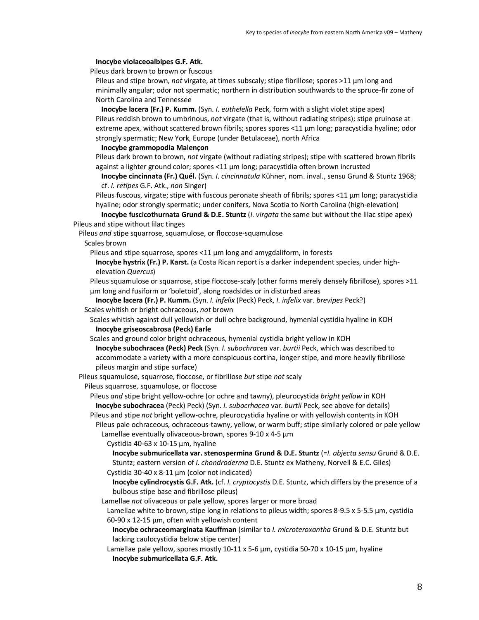#### **Inocybe violaceoalbipes G.F. Atk.**

Pileus dark brown to brown or fuscous

Pileus and stipe brown, *not* virgate, at times subscaly; stipe fibrillose; spores >11 µm long and minimally angular; odor not spermatic; northern in distribution southwards to the spruce-fir zone of North Carolina and Tennessee

**Inocybe lacera (Fr.) P. Kumm.** (Syn. *I. euthelella* Peck, form with a slight violet stipe apex) Pileus reddish brown to umbrinous, *not* virgate (that is, without radiating stripes); stipe pruinose at extreme apex, without scattered brown fibrils; spores spores <11 µm long; paracystidia hyaline; odor strongly spermatic; New York, Europe (under Betulaceae), north Africa

### **Inocybe grammopodia Malençon**

Pileus dark brown to brown, *not* virgate (without radiating stripes); stipe with scattered brown fibrils against a lighter ground color; spores <11 µm long; paracystidia often brown incrusted

**Inocybe cincinnata (Fr.) Quél.** (Syn. *I. cincinnatula* Kühner, nom. inval., sensu Grund & Stuntz 1968; cf. *I. retipes* G.F. Atk., *non* Singer)

Pileus fuscous, virgate; stipe with fuscous peronate sheath of fibrils; spores <11  $\mu$ m long; paracystidia hyaline; odor strongly spermatic; under conifers, Nova Scotia to North Carolina (high-elevation)

**Inocybe fuscicothurnata Grund & D.E. Stuntz** (*I. virgata* the same but without the lilac stipe apex) Pileus and stipe without lilac tinges

Pileus *and* stipe squarrose, squamulose, or floccose-squamulose

Scales brown

Pileus and stipe squarrose, spores <11  $\mu$ m long and amygdaliform, in forests

**Inocybe hystrix (Fr.) P. Karst.** (a Costa Rican report is a darker independent species, under highelevation *Quercus*)

Pileus squamulose or squarrose, stipe floccose-scaly (other forms merely densely fibrillose), spores >11 µm long and fusiform or 'boletoid', along roadsides or in disturbed areas

**Inocybe lacera (Fr.) P. Kumm.** (Syn. *I. infelix* (Peck) Peck, *I. infelix* var. *brevipes* Peck?) Scales whitish or bright ochraceous, *not* brown

Scales whitish against dull yellowish or dull ochre background, hymenial cystidia hyaline in KOH **Inocybe griseoscabrosa (Peck) Earle**

Scales and ground color bright ochraceous, hymenial cystidia bright yellow in KOH

**Inocybe subochracea (Peck) Peck** (Syn. *I. subochracea* var. *burtii* Peck, which was described to accommodate a variety with a more conspicuous cortina, longer stipe, and more heavily fibrillose pileus margin and stipe surface)

Pileus squamulose, squarrose, floccose, or fibrillose *but* stipe *not* scaly

Pileus squarrose, squamulose, or floccose

Pileus *and* stipe bright yellow-ochre (or ochre and tawny), pleurocystida *bright yellow* in KOH **Inocybe subochracea** (Peck) Peck) (Syn. *I. subocrhacea* var. *burtii* Peck, see above for details) Pileus and stipe *not* bright yellow-ochre, pleurocystidia hyaline or with yellowish contents in KOH

Pileus pale ochraceous, ochraceous-tawny, yellow, or warm buff; stipe similarly colored or pale yellow Lamellae eventually olivaceous-brown, spores 9-10 x 4-5 µm

Cystidia 40-63 x 10-15 µm, hyaline

**Inocybe submuricellata var. stenospermina Grund & D.E. Stuntz** (=*I. abjecta sensu* Grund & D.E. Stuntz; eastern version of *I. chondroderma* D.E. Stuntz ex Matheny, Norvell & E.C. Giles)

Cystidia 30-40 x 8-11 µm (color not indicated)

**Inocybe cylindrocystis G.F. Atk.** (cf. *I. cryptocystis* D.E. Stuntz, which differs by the presence of a bulbous stipe base and fibrillose pileus)

Lamellae *not* olivaceous or pale yellow, spores larger or more broad

Lamellae white to brown, stipe long in relations to pileus width; spores 8-9.5 x 5-5.5 µm, cystidia 60-90 x 12-15 µm, often with yellowish content

**Inocybe ochraceomarginata Kauffman** (similar to *I. microteroxantha* Grund & D.E. Stuntz but lacking caulocystidia below stipe center)

Lamellae pale yellow, spores mostly  $10-11 \times 5-6 \mu m$ , cystidia 50-70 x 10-15  $\mu m$ , hyaline **Inocybe submuricellata G.F. Atk.**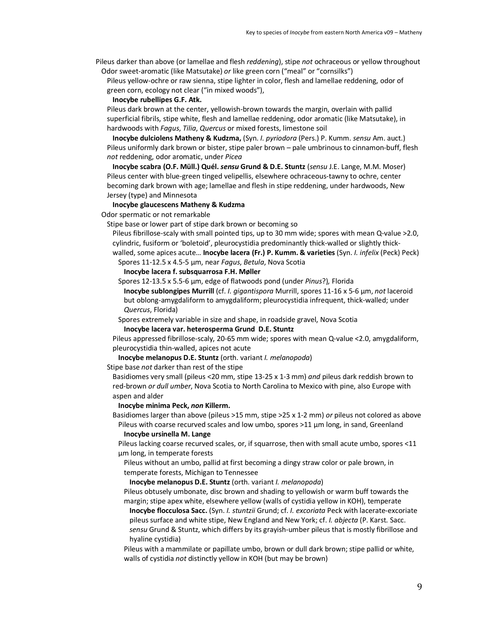Pileus darker than above (or lamellae and flesh *reddening*), stipe *not* ochraceous or yellow throughout Odor sweet-aromatic (like Matsutake) *or* like green corn ("meal" or "cornsilks")

Pileus yellow-ochre or raw sienna, stipe lighter in color, flesh and lamellae reddening, odor of green corn, ecology not clear ("in mixed woods"),

**Inocybe rubellipes G.F. Atk.**

Pileus dark brown at the center, yellowish-brown towards the margin, overlain with pallid superficial fibrils, stipe white, flesh and lamellae reddening, odor aromatic (like Matsutake), in hardwoods with *Fagus*, *Tilia*, *Quercus* or mixed forests, limestone soil

**Inocybe dulciolens Matheny & Kudzma,** (Syn. *I. pyriodora* (Pers.) P. Kumm. *sensu* Am. auct.) Pileus uniformly dark brown or bister, stipe paler brown – pale umbrinous to cinnamon-buff, flesh *not* reddening, odor aromatic, under *Picea*

**Inocybe scabra (O.F. Müll.) Quél.** *sensu* **Grund & D.E. Stuntz** (*sensu* J.E. Lange, M.M. Moser) Pileus center with blue-green tinged velipellis, elsewhere ochraceous-tawny to ochre, center becoming dark brown with age; lamellae and flesh in stipe reddening, under hardwoods, New Jersey (type) and Minnesota

#### **Inocybe glaucescens Matheny & Kudzma**

Odor spermatic or not remarkable

Stipe base or lower part of stipe dark brown or becoming so

Pileus fibrillose-scaly with small pointed tips, up to 30 mm wide; spores with mean Q-value >2.0, cylindric, fusiform or 'boletoid', pleurocystidia predominantly thick-walled or slightly thickwalled, some apices acute… **Inocybe lacera (Fr.) P. Kumm. & varieties** (Syn. *I. infelix* (Peck) Peck)

Spores 11-12.5 x 4.5-5 µm, near *Fagus*, *Betula*, Nova Scotia

**Inocybe lacera f. subsquarrosa F.H. Møller**

Spores 12-13.5 x 5.5-6 µm, edge of flatwoods pond (under *Pinus*?)*,* Florida

**Inocybe sublongipes Murrill** (cf. *I. gigantispora* Murrill, spores 11-16 x 5-6 µm, *not* laceroid but oblong-amygdaliform to amygdaliform; pleurocystidia infrequent, thick-walled; under *Quercus*, Florida)

Spores extremely variable in size and shape, in roadside gravel, Nova Scotia

**Inocybe lacera var. heterosperma Grund D.E. Stuntz**

Pileus appressed fibrillose-scaly, 20-65 mm wide; spores with mean Q-value <2.0, amygdaliform, pleurocystidia thin-walled, apices not acute

**Inocybe melanopus D.E. Stuntz** (orth. variant *I. melanopoda*)

Stipe base *not* darker than rest of the stipe

Basidiomes very small (pileus <20 mm, stipe 13-25 x 1-3 mm) *and* pileus dark reddish brown to red-brown *or dull umber*, Nova Scotia to North Carolina to Mexico with pine, also Europe with aspen and alder

### **Inocybe minima Peck,** *non* **Killerm.**

Basidiomes larger than above (pileus >15 mm, stipe >25 x 1-2 mm) *or* pileus not colored as above Pileus with coarse recurved scales and low umbo, spores >11 µm long, in sand, Greenland

**Inocybe ursinella M. Lange**

Pileus lacking coarse recurved scales, or, if squarrose, then with small acute umbo, spores <11 µm long, in temperate forests

Pileus without an umbo, pallid at first becoming a dingy straw color or pale brown, in temperate forests, Michigan to Tennessee

**Inocybe melanopus D.E. Stuntz** (orth. variant *I. melanopoda*)

Pileus obtusely umbonate, disc brown and shading to yellowish or warm buff towards the margin; stipe apex white, elsewhere yellow (walls of cystidia yellow in KOH), temperate

**Inocybe flocculosa Sacc.** (Syn. *I. stuntzii* Grund; cf. *I. excoriata* Peck with lacerate-excoriate pileus surface and white stipe, New England and New York; cf. *I. abjecta* (P. Karst. Sacc. *sensu* Grund & Stuntz, which differs by its grayish-umber pileus that is mostly fibrillose and

hyaline cystidia)

Pileus with a mammilate or papillate umbo, brown or dull dark brown; stipe pallid or white, walls of cystidia *not* distinctly yellow in KOH (but may be brown)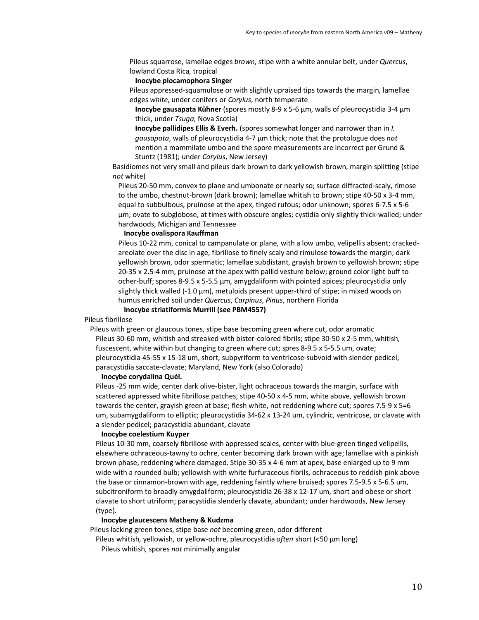Pileus squarrose, lamellae edges *brown*, stipe with a white annular belt, under *Quercus*, lowland Costa Rica, tropical

# **Inocybe plocamophora Singer**

Pileus appressed-squamulose or with slightly upraised tips towards the margin, lamellae edges *white*, under conifers or *Corylus*, north temperate

**Inocybe gausapata Kühner** (spores mostly 8-9 x 5-6 µm, walls of pleurocystidia 3-4 µm thick, under *Tsuga*, Nova Scotia)

**Inocybe pallidipes Ellis & Everh.** (spores somewhat longer and narrower than in *I. gausapata*, walls of pleurocystidia 4-7 µm thick; note that the protologue does *not*  mention a mammilate umbo and the spore measurements are incorrect per Grund & Stuntz (1981); under *Corylus*, New Jersey)

Basidiomes not very small and pileus dark brown to dark yellowish brown, margin splitting (stipe *not* white)

Pileus 20-50 mm, convex to plane and umbonate or nearly so; surface diffracted-scaly, rimose to the umbo, chestnut-brown (dark brown); lamellae whitish to brown; stipe 40-50 x 3-4 mm, equal to subbulbous, pruinose at the apex, tinged rufous; odor unknown; spores 6-7.5 x 5-6 µm, ovate to subglobose, at times with obscure angles; cystidia only slightly thick-walled; under hardwoods, Michigan and Tennessee

### **Inocybe ovalispora Kauffman**

Pileus 10-22 mm, conical to campanulate or plane, with a low umbo, velipellis absent; crackedareolate over the disc in age, fibrillose to finely scaly and rimulose towards the margin; dark yellowish brown, odor spermatic; lamellae subdistant, grayish brown to yellowish brown; stipe 20-35 x 2.5-4 mm, pruinose at the apex with pallid vesture below; ground color light buff to ocher-buff; spores 8-9.5 x 5-5.5 µm, amygdaliform with pointed apices; pleurocystidia only slightly thick walled (-1.0 µm), metuloids present upper-third of stipe; in mixed woods on humus enriched soil under *Quercus*, *Carpinus*, *Pinus*, northern Florida

**Inocybe striatiformis Murrill (see PBM4557)**

# Pileus fibrillose

Pileus with green or glaucous tones, stipe base becoming green where cut, odor aromatic Pileus 30-60 mm, whitish and streaked with bister-colored fibrils; stipe 30-50 x 2-5 mm, whitish, fuscescent, white within but changing to green where cut; spres 8-9.5 x 5-5.5 um, ovate; pleurocystidia 45-55 x 15-18 um, short, subpyriform to ventricose-subvoid with slender pedicel, paracystidia saccate-clavate; Maryland, New York (also Colorado)

### **Inocybe corydalina Quél.**

Pileus -25 mm wide, center dark olive-bister, light ochraceous towards the margin, surface with scattered appressed white fibrillose patches; stipe 40-50 x 4-5 mm, white above, yellowish brown towards the center, grayish green at base; flesh white, not reddening where cut; spores 7.5-9 x 5=6 um, subamygdaliform to elliptic; pleurocystidia 34-62 x 13-24 um, cylindric, ventricose, or clavate with a slender pedicel; paracystidia abundant, clavate

# **Inocybe coelestium Kuyper**

Pileus 10-30 mm, coarsely fibrillose with appressed scales, center with blue-green tinged velipellis, elsewhere ochraceous-tawny to ochre, center becoming dark brown with age; lamellae with a pinkish brown phase, reddening where damaged. Stipe 30-35 x 4-6 mm at apex, base enlarged up to 9 mm wide with a rounded bulb; yellowish with white furfuraceous fibrils, ochraceous to reddish pink above the base or cinnamon-brown with age, reddening faintly where bruised; spores 7.5-9.5 x 5-6.5 um, subcitroniform to broadly amygdaliform; pleurocystidia 26-38 x 12-17 um, short and obese or short clavate to short utriform; paracystidia slenderly clavate, abundant; under hardwoods, New Jersey (type).

## **Inocybe glaucescens Matheny & Kudzma**

Pileus lacking green tones, stipe base *not* becoming green, odor different

Pileus whitish, yellowish, or yellow-ochre, pleurocystidia *often* short (<50 µm long)

Pileus whitish, spores *not* minimally angular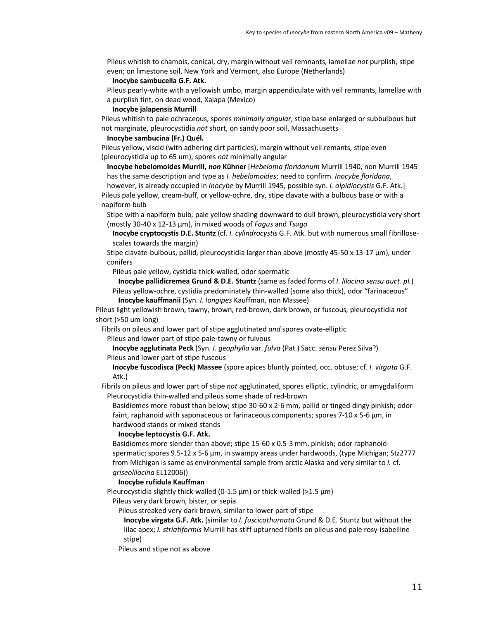Pileus whitish to chamois, conical, dry, margin without veil remnants, lamellae *not* purplish, stipe even; on limestone soil, New York and Vermont, also Europe (Netherlands)

#### **Inocybe sambucella G.F. Atk.**

Pileus pearly-white with a yellowish umbo, margin appendiculate with veil remnants, lamellae with a purplish tint, on dead wood, Xalapa (Mexico)

**Inocybe jalapensis Murrill**

Pileus whitish to pale ochraceous, spores *minimally angular*, stipe base enlarged or subbulbous but not marginate, pleurocystidia *not* short, on sandy poor soil, Massachusetts

# **Inocybe sambucina (Fr.) Quél.**

Pileus yellow, viscid (with adhering dirt particles), margin without veil remants, stipe even (pleurocystidia up to 65 um), spores *not* minimally angular

**Inocybe hebelomoides Murrill,** *non* **Kühner** [*Hebeloma floridanum* Murrill 1940, non Murrill 1945 has the same description and type as *I. hebelomoides*; need to confirm. *Inocybe floridana*,

however, is already occupied in *Inocybe* by Murrill 1945, possible syn. *I. olpidiocystis* G.F. Atk.] Pileus pale yellow, cream-buff, or yellow-ochre, dry, stipe clavate with a bulbous base or with a napiform bulb

Stipe with a napiform bulb, pale yellow shading downward to dull brown, pleurocystidia very short (mostly 30-40 x 12-13 µm), in mixed woods of *Fagus* and *Tsuga*

**Inocybe cryptocystis D.E. Stuntz** (cf. *I. cylindrocystis* G.F. Atk. but with numerous small fibrillosescales towards the margin)

Stipe clavate-bulbous, pallid, pleurocystidia larger than above (mostly 45-50 x 13-17 µm), under conifers

Pileus pale yellow, cystidia thick-walled, odor spermatic

**Inocybe pallidicremea Grund & D.E. Stuntz** (same as faded forms of *I. lilacina sensu auct. pl.*) Pileus yellow-ochre, cystidia predominately thin-walled (some also thick), odor "farinaceous"

**Inocybe kauffmanii** (Syn. *I. longipes* Kauffman, non Massee)

Pileus light yellowish brown, tawny, brown, red-brown, dark brown, or fuscous, pleurocystidia *not*  short (>50 um long)

Fibrils on pileus and lower part of stipe agglutinated *and* spores ovate-elliptic

Pileus and lower part of stipe pale-tawny or fulvous

**Inocybe agglutinata Peck** (Syn. *I. geophylla* var. *fulva* (Pat.) Sacc. *sensu* Perez Silva?)

### Pileus and lower part of stipe fuscous

**Inocybe fuscodisca (Peck) Massee** (spore apices bluntly pointed, occ. obtuse; cf. *I. virgata* G.F. Atk.)

Fibrils on pileus and lower part of stipe *not* agglutinated, spores elliptic, cylindric, or amygdaliform Pleurocystidia thin-walled and pileus some shade of red-brown

Basidiomes more robust than below; stipe 30-60 x 2-6 mm, pallid or tinged dingy pinkish; odor faint, raphanoid with saponaceous or farinaceous components; spores 7-10 x 5-6 µm, in hardwood stands or mixed stands

#### **Inocybe leptocystis G.F. Atk.**

Basidiomes more slender than above; stipe 15-60 x 0.5-3 mm, pinkish; odor raphanoidspermatic; spores 9.5-12 x 5-6 µm, in swampy areas under hardwoods, (type Michigan; Stz2777 from Michigan is same as environmental sample from arctic Alaska and very similar to *I.* cf. *griseolilacina* EL12006))

### **Inocybe rufidula Kauffman**

Pleurocystidia slightly thick-walled (0-1.5  $\mu$ m) or thick-walled (>1.5  $\mu$ m)

Pileus very dark brown, bister, or sepia

Pileus streaked very dark brown, similar to lower part of stipe

**Inocybe virgata G.F. Atk.** (similar to *I. fuscicothurnata* Grund & D.E. Stuntz but without the lilac apex; *I. striatiformis* Murrill has stiff upturned fibrils on pileus and pale rosy-isabelline stipe)

Pileus and stipe not as above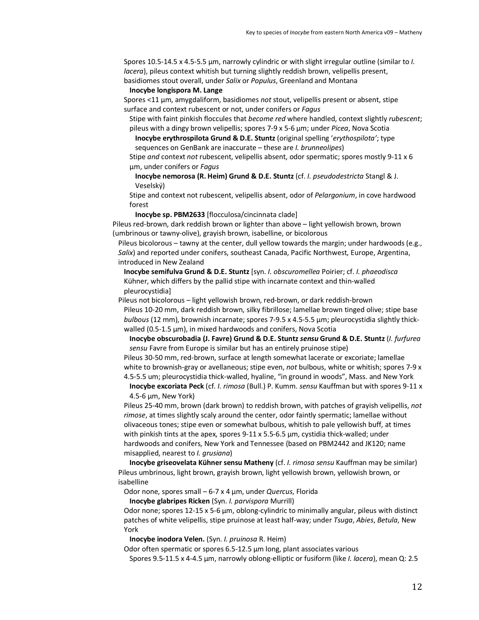Spores 10.5-14.5 x 4.5-5.5 µm, narrowly cylindric or with slight irregular outline (similar to *I. lacera*), pileus context whitish but turning slightly reddish brown, velipellis present, basidiomes stout overall, under *Salix* or *Populus*, Greenland and Montana

#### **Inocybe longispora M. Lange**

Spores <11 µm, amygdaliform, basidiomes *not* stout, velipellis present or absent, stipe surface and context rubescent or not, under conifers or *Fagus*

Stipe with faint pinkish floccules that *become red* where handled, context slightly *rubescent*; pileus with a dingy brown velipellis; spores 7-9 x 5-6 µm; under *Picea*, Nova Scotia

**Inocybe erythrospilota Grund & D.E. Stuntz** (original spelling '*erythospilota'*; type sequences on GenBank are inaccurate – these are *I. brunneolipes*)

Stipe *and* context *not* rubescent, velipellis absent, odor spermatic; spores mostly 9-11 x 6 µm, under conifers or *Fagus* 

**Inocybe nemorosa (R. Heim) Grund & D.E. Stuntz** (cf. *I. pseudodestricta* Stangl & J. Veselský)

Stipe and context not rubescent, velipellis absent, odor of *Pelargonium*, in cove hardwood forest

**Inocybe sp. PBM2633** [flocculosa/cincinnata clade]

Pileus red-brown, dark reddish brown or lighter than above – light yellowish brown, brown (umbrinous or tawny-olive), grayish brown, isabelline, or bicolorous

Pileus bicolorous – tawny at the center, dull yellow towards the margin; under hardwoods (e.g., *Salix*) and reported under conifers, southeast Canada, Pacific Northwest, Europe, Argentina, introduced in New Zealand

**Inocybe semifulva Grund & D.E. Stuntz** [syn. *I. obscuromellea* Poirier; cf. *I. phaeodisca* Kühner, which differs by the pallid stipe with incarnate context and thin-walled pleurocystidia]

Pileus not bicolorous – light yellowish brown, red-brown, or dark reddish-brown Pileus 10-20 mm, dark reddish brown, silky fibrillose; lamellae brown tinged olive; stipe base *bulbous* (12 mm), brownish incarnate; spores 7-9.5 x 4.5-5.5 µm; pleurocystidia slightly thickwalled (0.5-1.5  $\mu$ m), in mixed hardwoods and conifers, Nova Scotia

**Inocybe obscurobadia (J. Favre) Grund & D.E. Stuntz** *sensu* **Grund & D.E. Stuntz** (*I. furfurea sensu* Favre from Europe is similar but has an entirely pruinose stipe)

Pileus 30-50 mm, red-brown, surface at length somewhat lacerate or excoriate; lamellae white to brownish-gray or avellaneous; stipe even, *not* bulbous, white or whitish; spores 7-9 x 4.5-5.5 um; pleurocystidia thick-walled, hyaline, "in ground in woods", Mass. and New York

**Inocybe excoriata Peck** (cf. *I. rimosa* (Bull.) P. Kumm. *sensu* Kauffman but with spores 9-11 x 4.5-6 µm, New York)

Pileus 25-40 mm, brown (dark brown) to reddish brown, with patches of grayish velipellis, *not rimose*, at times slightly scaly around the center, odor faintly spermatic; lamellae without olivaceous tones; stipe even or somewhat bulbous, whitish to pale yellowish buff, at times with pinkish tints at the apex, spores 9-11 x 5.5-6.5 µm, cystidia thick-walled; under hardwoods and conifers, New York and Tennessee (based on PBM2442 and JK120; name misapplied, nearest to *I. grusiana*)

**Inocybe griseovelata Kühner sensu Matheny** (cf. *I. rimosa sensu* Kauffman may be similar) Pileus umbrinous, light brown, grayish brown, light yellowish brown, yellowish brown, or isabelline

Odor none, spores small – 6-7 x 4 µm, under *Quercus*, Florida

**Inocybe glabripes Ricken** (Syn. *I. parvispora* Murrill)

Odor none; spores  $12-15 \times 5-6 \mu m$ , oblong-cylindric to minimally angular, pileus with distinct patches of white velipellis, stipe pruinose at least half-way; under *Tsuga*, *Abies*, *Betula*, New York

**Inocybe inodora Velen.** (Syn. *I. pruinosa* R. Heim)

Odor often spermatic or spores 6.5-12.5 µm long, plant associates various

Spores 9.5-11.5 x 4-4.5 µm, narrowly oblong-elliptic or fusiform (like *I. lacera*), mean Q: 2.5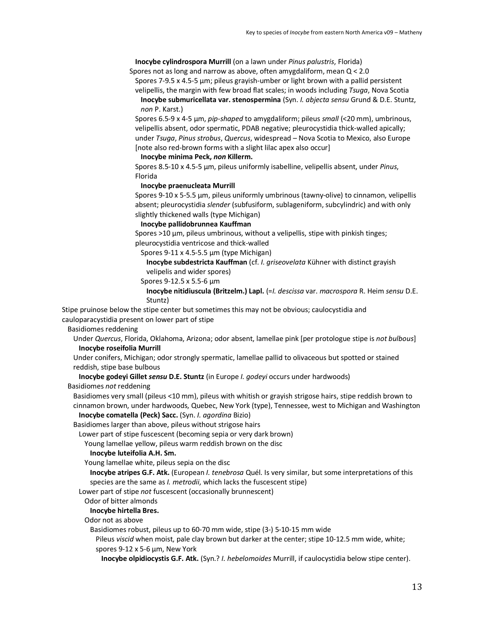**Inocybe cylindrospora Murrill** (on a lawn under *Pinus palustris*, Florida)

Spores not as long and narrow as above, often amygdaliform, mean Q < 2.0

Spores 7-9.5 x 4.5-5 µm; pileus grayish-umber or light brown with a pallid persistent velipellis, the margin with few broad flat scales; in woods including *Tsuga*, Nova Scotia **Inocybe submuricellata var. stenospermina** (Syn. *I. abjecta sensu* Grund & D.E. Stuntz,

*non* P. Karst.)

Spores 6.5-9 x 4-5 µm, *pip-shaped* to amygdaliform; pileus *small* (<20 mm), umbrinous, velipellis absent, odor spermatic, PDAB negative; pleurocystidia thick-walled apically; under *Tsuga*, *Pinus strobus*, *Quercus*, widespread – Nova Scotia to Mexico, also Europe [note also red-brown forms with a slight lilac apex also occur]

**Inocybe minima Peck,** *non* **Killerm.**

Spores 8.5-10 x 4.5-5 µm, pileus uniformly isabelline, velipellis absent, under *Pinus*, Florida

#### **Inocybe praenucleata Murrill**

Spores 9-10 x 5-5.5 µm, pileus uniformly umbrinous (tawny-olive) to cinnamon, velipellis absent; pleurocystidia *slender* (subfusiform, sublageniform, subcylindric) and with only slightly thickened walls (type Michigan)

**Inocybe pallidobrunnea Kauffman**

Spores >10  $\mu$ m, pileus umbrinous, without a velipellis, stipe with pinkish tinges; pleurocystidia ventricose and thick-walled

Spores 9-11 x 4.5-5.5 µm (type Michigan)

**Inocybe subdestricta Kauffman** (cf. *I. griseovelata* Kühner with distinct grayish velipelis and wider spores)

Spores 9-12.5 x 5.5-6 µm

**Inocybe nitidiuscula (Britzelm.) Lapl.** (=*I. descissa* var. *macrospora* R. Heim *sensu* D.E. Stuntz)

Stipe pruinose below the stipe center but sometimes this may not be obvious; caulocystidia and cauloparacystidia present on lower part of stipe

Basidiomes reddening

Under *Quercus*, Florida, Oklahoma, Arizona; odor absent, lamellae pink [per protologue stipe is *not bulbous*] **Inocybe roseifolia Murrill** 

Under conifers, Michigan; odor strongly spermatic, lamellae pallid to olivaceous but spotted or stained reddish, stipe base bulbous

**Inocybe godeyi Gillet** *sensu* **D.E. Stuntz** (in Europe *I. godeyi* occurs under hardwoods)

Basidiomes *not* reddening

Basidiomes very small (pileus <10 mm), pileus with whitish or grayish strigose hairs, stipe reddish brown to cinnamon brown, under hardwoods, Quebec, New York (type), Tennessee, west to Michigan and Washington **Inocybe comatella (Peck) Sacc.** (Syn. *I. agordina* Bizio)

Basidiomes larger than above, pileus without strigose hairs

Lower part of stipe fuscescent (becoming sepia or very dark brown)

Young lamellae yellow, pileus warm reddish brown on the disc

## **Inocybe luteifolia A.H. Sm.**

Young lamellae white, pileus sepia on the disc

**Inocybe atripes G.F. Atk.** (European *I. tenebrosa* Quél. Is very similar, but some interpretations of this species are the same as *I. metrodii*, which lacks the fuscescent stipe)

Lower part of stipe *not* fuscescent (occasionally brunnescent)

# Odor of bitter almonds

# **Inocybe hirtella Bres.**

Odor not as above

Basidiomes robust, pileus up to 60-70 mm wide, stipe (3-) 5-10-15 mm wide

Pileus *viscid* when moist, pale clay brown but darker at the center; stipe 10-12.5 mm wide, white; spores 9-12 x 5-6 µm, New York

**Inocybe olpidiocystis G.F. Atk.** (Syn.? *I. hebelomoides* Murrill, if caulocystidia below stipe center).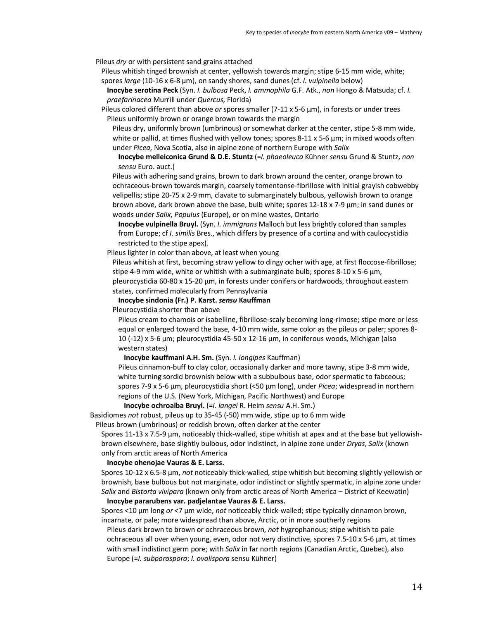Pileus *dry* or with persistent sand grains attached

Pileus whitish tinged brownish at center, yellowish towards margin; stipe 6-15 mm wide, white; spores *large* (10-16 x 6-8 µm), on sandy shores, sand dunes(cf. *I. vulpinella* below)

**Inocybe serotina Peck** (Syn. *I. bulbosa* Peck, *I. ammophila* G.F. Atk., *non* Hongo & Matsuda; cf. *I. praefarinacea* Murrill under *Quercus*, Florida)

Pileus colored different than above *or* spores smaller (7-11 x 5-6 µm), in forests or under trees Pileus uniformly brown or orange brown towards the margin

Pileus dry, uniformly brown (umbrinous) or somewhat darker at the center, stipe 5-8 mm wide, white or pallid, at times flushed with yellow tones; spores 8-11 x 5-6  $\mu$ m; in mixed woods often under *Picea*, Nova Scotia, also in alpine zone of northern Europe with *Salix*

**Inocybe melleiconica Grund & D.E. Stuntz** (=*I. phaeoleuca* Kühner *sensu* Grund & Stuntz, *non sensu* Euro. auct.)

Pileus with adhering sand grains, brown to dark brown around the center, orange brown to ochraceous-brown towards margin, coarsely tomentonse-fibrillose with initial grayish cobwebby velipellis; stipe 20-75 x 2-9 mm, clavate to submarginately bulbous, yellowish brown to orange brown above, dark brown above the base, bulb white; spores 12-18 x 7-9 µm; in sand dunes or woods under *Salix*, *Populus* (Europe), or on mine wastes, Ontario

**Inocybe vulpinella Bruyl.** (Syn. *I. immigrans* Malloch but less brightly colored than samples from Europe; cf *I. similis* Bres., which differs by presence of a cortina and with caulocystidia restricted to the stipe apex).

Pileus lighter in color than above, at least when young

Pileus whitish at first, becoming straw yellow to dingy ocher with age, at first floccose-fibrillose; stipe 4-9 mm wide, white or whitish with a submarginate bulb; spores 8-10 x 5-6 µm, pleurocystidia 60-80 x 15-20 µm, in forests under conifers or hardwoods, throughout eastern states, confirmed molecularly from Pennsylvania

**Inocybe sindonia (Fr.) P. Karst.** *sensu* **Kauffman**

Pleurocystidia shorter than above

Pileus cream to chamois or isabelline, fibrillose-scaly becoming long-rimose; stipe more or less equal or enlarged toward the base, 4-10 mm wide, same color as the pileus or paler; spores 8- 10 (-12) x 5-6 µm; pleurocystidia 45-50 x 12-16 µm, in coniferous woods, Michigan (also western states)

### **Inocybe kauffmani A.H. Sm.** (Syn. *I. longipes* Kauffman)

Pileus cinnamon-buff to clay color, occasionally darker and more tawny, stipe 3-8 mm wide, white turning sordid brownish below with a subbulbous base, odor spermatic to fabceous; spores 7-9 x 5-6 µm, pleurocystidia short (<50 µm long), under *Picea*; widespread in northern regions of the U.S. (New York, Michigan, Pacific Northwest) and Europe

**Inocybe ochroalba Bruyl.** (=*I. langei* R. Heim *sensu* A.H. Sm.)

Basidiomes *not* robust, pileus up to 35-45 (-50) mm wide, stipe up to 6 mm wide

Pileus brown (umbrinous) or reddish brown, often darker at the center

Spores 11-13 x 7.5-9 µm, noticeably thick-walled, stipe whitish at apex and at the base but yellowishbrown elsewhere, base slightly bulbous, odor indistinct, in alpine zone under *Dryas*, *Salix* (known only from arctic areas of North America

# **Inocybe ohenojae Vauras & E. Larss.**

Spores 10-12 x 6.5-8 µm, *not* noticeably thick-walled, stipe whitish but becoming slightly yellowish or brownish, base bulbous but not marginate, odor indistinct or slightly spermatic, in alpine zone under *Salix* and *Bistorta vivipara* (known only from arctic areas of North America – District of Keewatin)

### **Inocybe pararubens var. padjelantae Vauras & E. Larss.**

Spores <10 µm long *or* <7 µm wide, *not* noticeably thick-walled; stipe typically cinnamon brown, incarnate, or pale; more widespread than above, Arctic, or in more southerly regions

Pileus dark brown to brown or ochraceous brown, *not* hygrophanous; stipe whitish to pale ochraceous all over when young, even, odor not very distinctive, spores 7.5-10 x 5-6 µm, at times with small indistinct germ pore; with *Salix* in far north regions (Canadian Arctic, Quebec), also Europe (=*I. subporospora*; *I. ovalispora* sensu Kühner)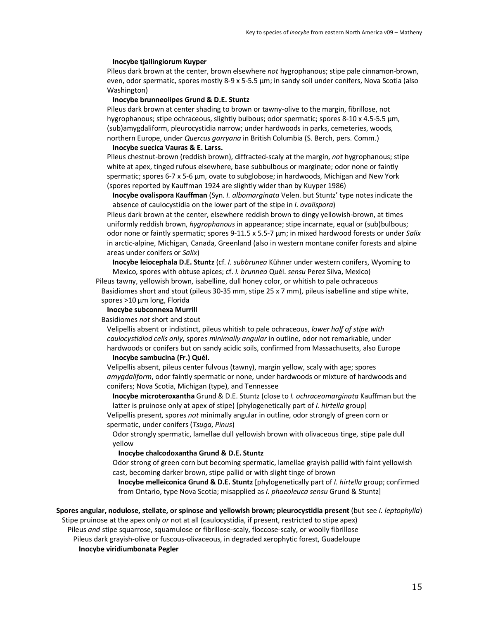#### **Inocybe tjallingiorum Kuyper**

Pileus dark brown at the center, brown elsewhere *not* hygrophanous; stipe pale cinnamon-brown, even, odor spermatic, spores mostly 8-9 x 5-5.5 µm; in sandy soil under conifers, Nova Scotia (also Washington)

# **Inocybe brunneolipes Grund & D.E. Stuntz**

Pileus dark brown at center shading to brown or tawny-olive to the margin, fibrillose, not hygrophanous; stipe ochraceous, slightly bulbous; odor spermatic; spores 8-10 x 4.5-5.5 µm, (sub)amygdaliform, pleurocystidia narrow; under hardwoods in parks, cemeteries, woods, northern Europe, under *Quercus garryana* in British Columbia (S. Berch, pers. Comm.)

### **Inocybe suecica Vauras & E. Larss.**

Pileus chestnut-brown (reddish brown), diffracted-scaly at the margin, *not* hygrophanous; stipe white at apex, tinged rufous elsewhere, base subbulbous or marginate; odor none or faintly spermatic; spores 6-7 x 5-6 µm, ovate to subglobose; in hardwoods, Michigan and New York (spores reported by Kauffman 1924 are slightly wider than by Kuyper 1986)

**Inocybe ovalispora Kauffman** (Syn. *I. albomarginata* Velen. but Stuntz' type notes indicate the absence of caulocystidia on the lower part of the stipe in *I. ovalispora*)

Pileus dark brown at the center, elsewhere reddish brown to dingy yellowish-brown, at times uniformly reddish brown, *hygrophanous* in appearance; stipe incarnate, equal or (sub)bulbous; odor none or faintly spermatic; spores 9-11.5 x 5.5-7 µm; in mixed hardwood forests or under *Salix*  in arctic-alpine, Michigan, Canada, Greenland (also in western montane conifer forests and alpine areas under conifers or *Salix*)

**Inocybe leiocephala D.E. Stuntz** (cf. *I. subbrunea* Kühner under western conifers, Wyoming to Mexico, spores with obtuse apices; cf. *I. brunnea* Quél. *sensu* Perez Silva, Mexico)

Pileus tawny, yellowish brown, isabelline, dull honey color, or whitish to pale ochraceous Basidiomes short and stout (pileus 30-35 mm, stipe 25 x 7 mm), pileus isabelline and stipe white, spores >10 µm long, Florida

## **Inocybe subconnexa Murrill**

Basidiomes *not* short and stout

Velipellis absent or indistinct, pileus whitish to pale ochraceous, *lower half of stipe with caulocystidiod cells only*, spores *minimally angular* in outline, odor not remarkable, under hardwoods or conifers but on sandy acidic soils, confirmed from Massachusetts, also Europe

## **Inocybe sambucina (Fr.) Quél.**

Velipellis absent, pileus center fulvous (tawny), margin yellow, scaly with age; spores *amygdaliform*, odor faintly spermatic or none, under hardwoods or mixture of hardwoods and conifers; Nova Scotia, Michigan (type), and Tennessee

**Inocybe microteroxantha** Grund & D.E. Stuntz (close to *I. ochraceomarginata* Kauffman but the latter is pruinose only at apex of stipe) [phylogenetically part of *I. hirtella* group] Velipellis present, spores *not* minimally angular in outline, odor strongly of green corn or

spermatic, under conifers (*Tsuga*, *Pinus*)

Odor strongly spermatic, lamellae dull yellowish brown with olivaceous tinge, stipe pale dull yellow

## **Inocybe chalcodoxantha Grund & D.E. Stuntz**

Odor strong of green corn but becoming spermatic, lamellae grayish pallid with faint yellowish cast, becoming darker brown, stipe pallid or with slight tinge of brown

**Inocybe melleiconica Grund & D.E. Stuntz** [phylogenetically part of *I. hirtella* group; confirmed from Ontario, type Nova Scotia; misapplied as *I. phaeoleuca sensu* Grund & Stuntz]

# **Spores angular, nodulose, stellate, or spinose and yellowish brown; pleurocystidia present** (but see *I. leptophylla*) Stipe pruinose at the apex only *or* not at all (caulocystidia, if present, restricted to stipe apex)

Pileus *and* stipe squarrose, squamulose or fibrillose-scaly, floccose-scaly, or woolly fibrillose

Pileus dark grayish-olive or fuscous-olivaceous, in degraded xerophytic forest, Guadeloupe **Inocybe viridiumbonata Pegler**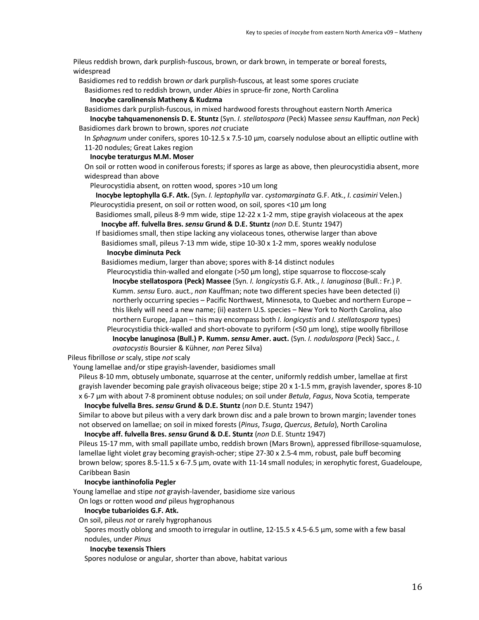Pileus reddish brown, dark purplish-fuscous, brown, or dark brown, in temperate or boreal forests, widespread

Basidiomes red to reddish brown *or* dark purplish-fuscous, at least some spores cruciate

Basidiomes red to reddish brown, under *Abies* in spruce-fir zone, North Carolina

# **Inocybe carolinensis Matheny & Kudzma**

Basidiomes dark purplish-fuscous, in mixed hardwood forests throughout eastern North America

**Inocybe tahquamenonensis D. E. Stuntz** (Syn. *I. stellatospora* (Peck) Massee *sensu* Kauffman, *non* Peck) Basidiomes dark brown to brown, spores *not* cruciate

In *Sphagnum* under conifers, spores 10-12.5 x 7.5-10 µm, coarsely nodulose about an elliptic outline with 11-20 nodules; Great Lakes region

### **Inocybe teraturgus M.M. Moser**

On soil or rotten wood in coniferous forests; if spores as large as above, then pleurocystidia absent, more widespread than above

Pleurocystidia absent, on rotten wood, spores >10 um long

**Inocybe leptophylla G.F. Atk.** (Syn. *I. leptophylla* var. *cystomarginata* G.F. Atk., *I. casimiri* Velen.) Pleurocystidia present, on soil or rotten wood, on soil, spores <10  $\mu$ m long

Basidiomes small, pileus 8-9 mm wide, stipe 12-22 x 1-2 mm, stipe grayish violaceous at the apex **Inocybe aff. fulvella Bres.** *sensu* **Grund & D.E. Stuntz** (*non* D.E. Stuntz 1947)

If basidiomes small, then stipe lacking any violaceous tones, otherwise larger than above Basidiomes small, pileus 7-13 mm wide, stipe 10-30 x 1-2 mm, spores weakly nodulose **Inocybe diminuta Peck**

Basidiomes medium, larger than above; spores with 8-14 distinct nodules

Pleurocystidia thin-walled and elongate (>50  $\mu$ m long), stipe squarrose to floccose-scaly **Inocybe stellatospora (Peck) Massee** (Syn. *I. longicystis* G.F. Atk., *I. lanuginosa* (Bull.: Fr.) P. Kumm. *sensu* Euro. auct., *non* Kauffman; note two different species have been detected (i) northerly occurring species – Pacific Northwest, Minnesota, to Quebec and northern Europe – this likely will need a new name; (ii) eastern U.S. species – New York to North Carolina, also northern Europe, Japan – this may encompass both *I. longicystis* and *I. stellatospora* types) Pleurocystidia thick-walled and short-obovate to pyriform (<50 µm long), stipe woolly fibrillose

**Inocybe lanuginosa (Bull.) P. Kumm.** *sensu* **Amer. auct.** (Syn. *I. nodulospora* (Peck) Sacc., *I. ovatocystis* Boursier & Kühner*, non* Perez Silva)

Pileus fibrillose *or* scaly, stipe *not* scaly

Young lamellae and/or stipe grayish-lavender, basidiomes small

Pileus 8-10 mm, obtusely umbonate, squarrose at the center, uniformly reddish umber, lamellae at first grayish lavender becoming pale grayish olivaceous beige; stipe 20 x 1-1.5 mm, grayish lavender, spores 8-10 x 6-7 µm with about 7-8 prominent obtuse nodules; on soil under *Betula*, *Fagus*, Nova Scotia, temperate **Inocybe fulvella Bres.** *sensu* **Grund & D.E. Stuntz** (*non* D.E. Stuntz 1947)

Similar to above but pileus with a very dark brown disc and a pale brown to brown margin; lavender tones not observed on lamellae; on soil in mixed forests (*Pinus*, *Tsuga*, *Quercus*, *Betula*), North Carolina

**Inocybe aff. fulvella Bres.** *sensu* **Grund & D.E. Stuntz** (*non* D.E. Stuntz 1947)

Pileus 15-17 mm, with small papillate umbo, reddish brown (Mars Brown), appressed fibrillose-squamulose, lamellae light violet gray becoming grayish-ocher; stipe 27-30 x 2.5-4 mm, robust, pale buff becoming brown below; spores 8.5-11.5 x 6-7.5 µm, ovate with 11-14 small nodules; in xerophytic forest, Guadeloupe, Caribbean Basin

# **Inocybe ianthinofolia Pegler**

Young lamellae and stipe *not* grayish-lavender, basidiome size various

On logs or rotten wood *and* pileus hygrophanous

#### **Inocybe tubarioides G.F. Atk.**

On soil, pileus *not* or rarely hygrophanous

Spores mostly oblong and smooth to irregular in outline, 12-15.5 x 4.5-6.5 µm, some with a few basal nodules, under *Pinus*

#### **Inocybe texensis Thiers**

Spores nodulose or angular, shorter than above, habitat various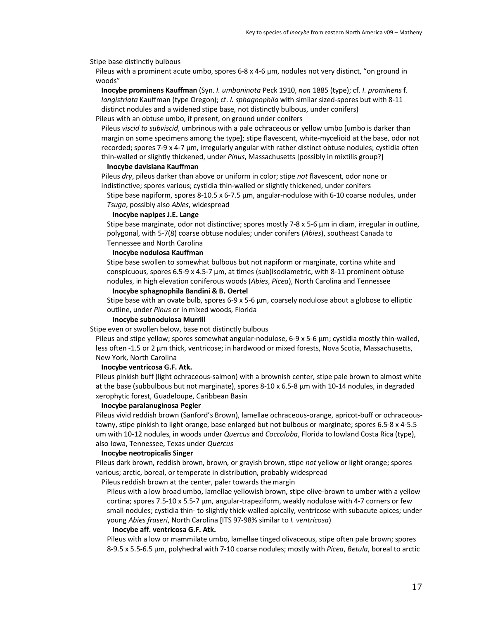Stipe base distinctly bulbous

Pileus with a prominent acute umbo, spores 6-8 x 4-6 µm, nodules not very distinct, "on ground in woods"

**Inocybe prominens Kauffman** (Syn. *I. umboninota* Peck 1910, *non* 1885 (type); cf. *I. prominens* f. *longistriata* Kauffman (type Oregon); cf. *I. sphagnophila* with similar sized-spores but with 8-11 distinct nodules and a widened stipe base, not distinctly bulbous, under conifers)

Pileus with an obtuse umbo, if present, on ground under conifers

Pileus *viscid to subviscid*, umbrinous with a pale ochraceous or yellow umbo [umbo is darker than margin on some specimens among the type]; stipe flavescent, white-mycelioid at the base, odor not recorded; spores 7-9 x 4-7 µm, irregularly angular with rather distinct obtuse nodules; cystidia often thin-walled or slightly thickened, under *Pinus*, Massachusetts [possibly in mixtilis group?]

## **Inocybe davisiana Kauffman**

Pileus *dry*, pileus darker than above or uniform in color; stipe *not* flavescent, odor none or indistinctive; spores various; cystidia thin-walled or slightly thickened, under conifers

Stipe base napiform, spores 8-10.5 x 6-7.5 µm, angular-nodulose with 6-10 coarse nodules, under *Tsuga*, possibly also *Abies*, widespread

#### **Inocybe napipes J.E. Lange**

Stipe base marginate, odor not distinctive; spores mostly 7-8 x 5-6 µm in diam, irregular in outline, polygonal, with 5-7(8) coarse obtuse nodules; under conifers (*Abies*), southeast Canada to Tennessee and North Carolina

#### **Inocybe nodulosa Kauffman**

Stipe base swollen to somewhat bulbous but not napiform or marginate, cortina white and conspicuous, spores  $6.5$ -9 x  $4.5$ -7  $\mu$ m, at times (sub)isodiametric, with 8-11 prominent obtuse nodules, in high elevation coniferous woods (*Abies*, *Picea*), North Carolina and Tennessee

**Inocybe sphagnophila Bandini & B. Oertel**

Stipe base with an ovate bulb, spores 6-9 x 5-6 µm, coarsely nodulose about a globose to elliptic outline, under *Pinus* or in mixed woods, Florida

### **Inocybe subnodulosa Murrill**

Stipe even or swollen below, base not distinctly bulbous

Pileus and stipe yellow; spores somewhat angular-nodulose, 6-9 x 5-6  $\mu$ m; cystidia mostly thin-walled, less often -1.5 or 2 µm thick, ventricose; in hardwood or mixed forests, Nova Scotia, Massachusetts, New York, North Carolina

#### **Inocybe ventricosa G.F. Atk.**

Pileus pinkish buff (light ochraceous-salmon) with a brownish center, stipe pale brown to almost white at the base (subbulbous but not marginate), spores 8-10 x 6.5-8 µm with 10-14 nodules, in degraded xerophytic forest, Guadeloupe, Caribbean Basin

#### **Inocybe paralanuginosa Pegler**

Pileus vivid reddish brown (Sanford's Brown), lamellae ochraceous-orange, apricot-buff or ochraceoustawny, stipe pinkish to light orange, base enlarged but not bulbous or marginate; spores 6.5-8 x 4-5.5 um with 10-12 nodules, in woods under *Quercus* and *Coccoloba*, Florida to lowland Costa Rica (type), also Iowa, Tennessee, Texas under *Quercus*

### **Inocybe neotropicalis Singer**

Pileus dark brown, reddish brown, brown, or grayish brown, stipe *not* yellow or light orange; spores various; arctic, boreal, or temperate in distribution, probably widespread

Pileus reddish brown at the center, paler towards the margin

Pileus with a low broad umbo, lamellae yellowish brown, stipe olive-brown to umber with a yellow cortina; spores 7.5-10 x 5.5-7 µm, angular-trapeziform, weakly nodulose with 4-7 corners or few small nodules; cystidia thin- to slightly thick-walled apically, ventricose with subacute apices; under young *Abies fraseri*, North Carolina [ITS 97-98% similar to *I. ventricosa*)

### **Inocybe aff. ventricosa G.F. Atk.**

Pileus with a low or mammilate umbo, lamellae tinged olivaceous, stipe often pale brown; spores 8-9.5 x 5.5-6.5 µm, polyhedral with 7-10 coarse nodules; mostly with *Picea*, *Betula*, boreal to arctic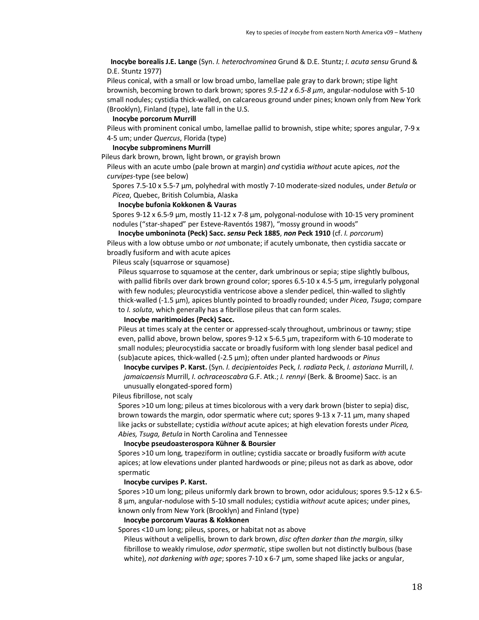**Inocybe borealis J.E. Lange** (Syn. *I. heterochrominea* Grund & D.E. Stuntz; *I. acuta sensu* Grund & D.E. Stuntz 1977)

Pileus conical, with a small or low broad umbo, lamellae pale gray to dark brown; stipe light brownish, becoming brown to dark brown; spores *9.5-12 x 6.5-8 µm*, angular-nodulose with 5-10 small nodules; cystidia thick-walled, on calcareous ground under pines; known only from New York (Brooklyn), Finland (type), late fall in the U.S.

### **Inocybe porcorum Murrill**

Pileus with prominent conical umbo, lamellae pallid to brownish, stipe white; spores angular, 7-9 x 4-5 um; under *Quercus*, Florida (type)

### **Inocybe subprominens Murrill**

Pileus dark brown, brown, light brown, or grayish brown

Pileus with an acute umbo (pale brown at margin) *and* cystidia *without* acute apices, *not* the *curvipes*-type (see below)

Spores 7.5-10 x 5.5-7 µm, polyhedral with mostly 7-10 moderate-sized nodules, under *Betula* or *Picea*, Quebec, British Columbia, Alaska

#### **Inocybe bufonia Kokkonen & Vauras**

Spores 9-12 x 6.5-9 µm, mostly 11-12 x 7-8 µm, polygonal-nodulose with 10-15 very prominent nodules ("star-shaped" per Esteve-Raventós 1987), "mossy ground in woods"

**Inocybe umboninota (Peck) Sacc.** *sensu* **Peck 1885**, *non* **Peck 1910** (cf. *I. porcorum*) Pileus with a low obtuse umbo or *not* umbonate; if acutely umbonate, then cystidia saccate or broadly fusiform and with acute apices

Pileus scaly (squarrose or squamose)

Pileus squarrose to squamose at the center, dark umbrinous or sepia; stipe slightly bulbous, with pallid fibrils over dark brown ground color; spores 6.5-10 x 4.5-5 µm, irregularly polygonal with few nodules; pleurocystidia ventricose above a slender pedicel, thin-walled to slightly thick-walled (-1.5 µm), apices bluntly pointed to broadly rounded; under *Picea*, *Tsuga*; compare to *I. soluta*, which generally has a fibrillose pileus that can form scales.

#### **Inocybe maritimoides (Peck) Sacc.**

Pileus at times scaly at the center or appressed-scaly throughout, umbrinous or tawny; stipe even, pallid above, brown below, spores 9-12 x 5-6.5 µm, trapeziform with 6-10 moderate to small nodules; pleurocystidia saccate or broadly fusiform with long slender basal pedicel and (sub)acute apices, thick-walled (-2.5 µm); often under planted hardwoods or *Pinus*

**Inocybe curvipes P. Karst.** (Syn. *I. decipientoides* Peck*, I. radiata* Peck, *I. astoriana* Murrill, *I. jamaicaensis* Murrill, *I. ochraceoscabra* G.F. Atk.; *I. rennyi* (Berk. & Broome) Sacc. is an unusually elongated-spored form)

Pileus fibrillose, not scaly

Spores >10 um long; pileus at times bicolorous with a very dark brown (bister to sepia) disc, brown towards the margin, odor spermatic where cut; spores 9-13 x 7-11 µm, many shaped like jacks or substellate; cystidia *without* acute apices; at high elevation forests under *Picea, Abies, Tsuga, Betula* in North Carolina and Tennessee

### **Inocybe pseudoasterospora Kühner & Boursier**

Spores >10 um long, trapeziform in outline; cystidia saccate or broadly fusiform *with* acute apices; at low elevations under planted hardwoods or pine; pileus not as dark as above, odor spermatic

# **Inocybe curvipes P. Karst.**

Spores >10 um long; pileus uniformly dark brown to brown, odor acidulous; spores 9.5-12 x 6.5- 8 µm, angular-nodulose with 5-10 small nodules; cystidia *without* acute apices; under pines, known only from New York (Brooklyn) and Finland (type)

## **Inocybe porcorum Vauras & Kokkonen**

Spores <10 um long; pileus, spores, or habitat not as above

Pileus without a velipellis, brown to dark brown, *disc often darker than the margin*, silky fibrillose to weakly rimulose, *odor spermatic*, stipe swollen but not distinctly bulbous (base white), *not darkening with age*; spores 7-10 x 6-7 µm, some shaped like jacks or angular,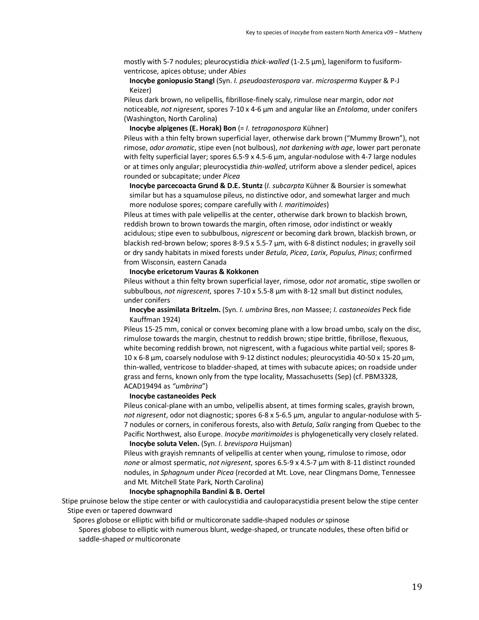mostly with 5-7 nodules; pleurocystidia *thick-walled* (1-2.5 µm), lageniform to fusiformventricose, apices obtuse; under *Abies*

# **Inocybe goniopusio Stangl** (Syn. *I. pseudoasterospora* var. *microsperma* Kuyper & P-J Keizer)

Pileus dark brown, no velipellis, fibrillose-finely scaly, rimulose near margin, odor *not*  noticeable, *not nigresent*, spores 7-10 x 4-6 µm and angular like an *Entoloma*, under conifers (Washington, North Carolina)

**Inocybe alpigenes (E. Horak) Bon** (= *I. tetragonospora* Kühner)

Pileus with a thin felty brown superficial layer, otherwise dark brown ("Mummy Brown"), not rimose, *odor aromatic*, stipe even (not bulbous), *not darkening with age*, lower part peronate with felty superficial layer; spores 6.5-9 x 4.5-6  $\mu$ m, angular-nodulose with 4-7 large nodules or at times only angular; pleurocystidia *thin-walled*, utriform above a slender pedicel, apices rounded or subcapitate; under *Picea*

**Inocybe parcecoacta Grund & D.E. Stuntz** (*I. subcarpta* Kühner & Boursier is somewhat similar but has a squamulose pileus, no distinctive odor, and somewhat larger and much more nodulose spores; compare carefully with *I. maritimoides*)

Pileus at times with pale velipellis at the center, otherwise dark brown to blackish brown, reddish brown to brown towards the margin, often rimose, odor indistinct or weakly acidulous; stipe even to subbulbous, *nigrescent* or becoming dark brown, blackish brown, or blackish red-brown below; spores 8-9.5 x 5.5-7 µm, with 6-8 distinct nodules; in gravelly soil or dry sandy habitats in mixed forests under *Betula*, *Picea*, *Larix*, *Populus*, *Pinus*; confirmed from Wisconsin, eastern Canada

# **Inocybe ericetorum Vauras & Kokkonen**

Pileus without a thin felty brown superficial layer, rimose, odor *not* aromatic, stipe swollen or subbulbous, *not nigrescent*, spores 7-10 x 5.5-8 µm with 8-12 small but distinct nodules, under conifers

# **Inocybe assimilata Britzelm.** (Syn. *I. umbrina* Bres, *non* Massee; *I. castaneoides* Peck fide Kauffman 1924)

Pileus 15-25 mm, conical or convex becoming plane with a low broad umbo, scaly on the disc, rimulose towards the margin, chestnut to reddish brown; stipe brittle, fibrillose, flexuous, white becoming reddish brown, not nigrescent, with a fugacious white partial veil; spores 8-10 x 6-8 µm, coarsely nodulose with 9-12 distinct nodules; pleurocystidia 40-50 x 15-20 µm, thin-walled, ventricose to bladder-shaped, at times with subacute apices; on roadside under grass and ferns, known only from the type locality, Massachusetts (Sep) (cf. PBM3328, ACAD19494 as *"umbrina*")

#### **Inocybe castaneoides Peck**

Pileus conical-plane with an umbo, velipellis absent, at times forming scales, grayish brown, *not nigresent*, odor not diagnostic; spores 6-8 x 5-6.5 µm, angular to angular-nodulose with 5- 7 nodules or corners, in coniferous forests, also with *Betula*, *Salix* ranging from Quebec to the Pacific Northwest, also Europe. *Inocybe maritimoides* is phylogenetically very closely related. **Inocybe soluta Velen.** (Syn. *I. brevispora* Huijsman)

Pileus with grayish remnants of velipellis at center when young, rimulose to rimose, odor *none* or almost spermatic, *not nigresent*, spores 6.5-9 x 4.5-7 µm with 8-11 distinct rounded nodules, in *Sphagnum* under *Picea* (recorded at Mt. Love, near Clingmans Dome, Tennessee and Mt. Mitchell State Park, North Carolina)

## **Inocybe sphagnophila Bandini & B. Oertel**

Stipe pruinose below the stipe center or with caulocystidia and cauloparacystidia present below the stipe center Stipe even or tapered downward

Spores globose or elliptic with bifid or multicoronate saddle-shaped nodules *or* spinose

Spores globose to elliptic with numerous blunt, wedge-shaped, or truncate nodules, these often bifid or saddle-shaped *or* multicoronate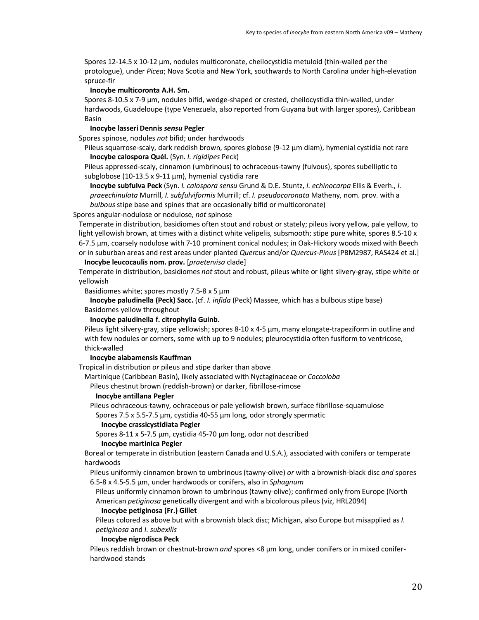Spores 12-14.5 x 10-12 µm, nodules multicoronate, cheilocystidia metuloid (thin-walled per the protologue), under *Picea*; Nova Scotia and New York, southwards to North Carolina under high-elevation spruce-fir

# **Inocybe multicoronta A.H. Sm.**

Spores 8-10.5 x 7-9 µm, nodules bifid, wedge-shaped or crested, cheilocystidia thin-walled, under hardwoods, Guadeloupe (type Venezuela, also reported from Guyana but with larger spores), Caribbean Basin

### **Inocybe lasseri Dennis** *sensu* **Pegler**

Spores spinose, nodules *not* bifid; under hardwoods

Pileus squarrose-scaly, dark reddish brown, spores globose (9-12  $\mu$ m diam), hymenial cystidia not rare **Inocybe calospora Quél.** (Syn. *I. rigidipes* Peck)

Pileus appressed-scaly, cinnamon (umbrinous) to ochraceous-tawny (fulvous), spores subelliptic to subglobose (10-13.5 x 9-11 µm), hymenial cystidia rare

**Inocybe subfulva Peck** (Syn. *I. calospora sensu* Grund & D.E. Stuntz, *I. echinocarpa* Ellis & Everh., *I. praeechinulata* Murrill, *I. subfulviformis* Murrill; cf. *I. pseudocoronata* Matheny, nom. prov. with a *bulbous* stipe base and spines that are occasionally bifid or multicoronate)

## Spores angular-nodulose or nodulose, *not* spinose

Temperate in distribution, basidiomes often stout and robust or stately; pileus ivory yellow, pale yellow, to light yellowish brown, at times with a distinct white velipelis, subsmooth; stipe pure white, spores 8.5-10  $x$ 6-7.5 µm, coarsely nodulose with 7-10 prominent conical nodules; in Oak-Hickory woods mixed with Beech or in suburban areas and rest areas under planted *Quercus* and/or *Quercus-Pinus* [PBM2987, RAS424 et al.]

# **Inocybe leucocaulis nom. prov.** [*praetervisa* clade]

Temperate in distribution, basidiomes *not* stout and robust, pileus white or light silvery-gray, stipe white or yellowish

Basidiomes white; spores mostly 7.5-8 x 5 µm

**Inocybe paludinella (Peck) Sacc.** (cf. *I. infida* (Peck) Massee, which has a bulbous stipe base) Basidomes yellow throughout

#### **Inocybe paludinella f. citrophylla Guinb.**

Pileus light silvery-gray, stipe yellowish; spores 8-10 x 4-5 µm, many elongate-trapeziform in outline and with few nodules or corners, some with up to 9 nodules; pleurocystidia often fusiform to ventricose, thick-walled

### **Inocybe alabamensis Kauffman**

Tropical in distribution *or* pileus and stipe darker than above

Martinique (Caribbean Basin), likely associated with Nyctaginaceae or *Coccoloba*

Pileus chestnut brown (reddish-brown) or darker, fibrillose-rimose

### **Inocybe antillana Pegler**

Pileus ochraceous-tawny, ochraceous or pale yellowish brown, surface fibrillose-squamulose

Spores 7.5 x 5.5-7.5 µm, cystidia 40-55 µm long, odor strongly spermatic

# **Inocybe crassicystidiata Pegler**

Spores 8-11 x 5-7.5 µm, cystidia 45-70 µm long, odor not described

# **Inocybe martinica Pegler**

Boreal or temperate in distribution (eastern Canada and U.S.A.), associated with conifers or temperate hardwoods

Pileus uniformly cinnamon brown to umbrinous (tawny-olive) *or* with a brownish-black disc *and* spores 6.5-8 x 4.5-5.5 µm, under hardwoods or conifers, also in *Sphagnum*

Pileus uniformly cinnamon brown to umbrinous (tawny-olive); confirmed only from Europe (North American *petiginosa* genetically divergent and with a bicolorous pileus (viz, HRL2094)

# **Inocybe petiginosa (Fr.) Gillet**

Pileus colored as above but with a brownish black disc; Michigan, also Europe but misapplied as *I. petiginosa* and *I. subexilis*

**Inocybe nigrodisca Peck**

Pileus reddish brown or chestnut-brown *and* spores <8 µm long, under conifers or in mixed coniferhardwood stands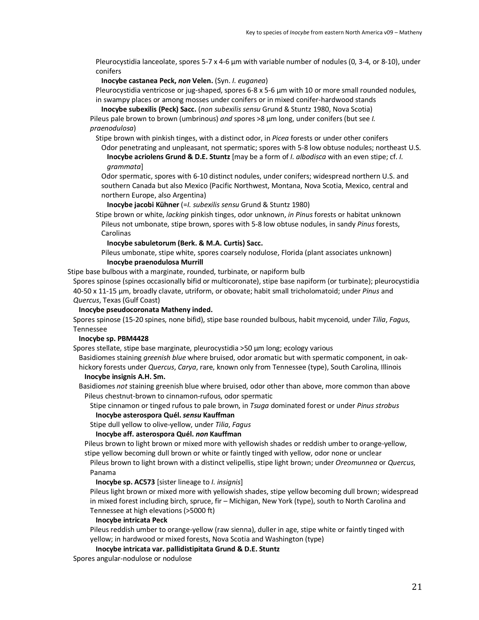Pleurocystidia lanceolate, spores 5-7 x 4-6  $\mu$ m with variable number of nodules (0, 3-4, or 8-10), under conifers

**Inocybe castanea Peck,** *non* **Velen.** (Syn. *I. euganea*)

Pleurocystidia ventricose or jug-shaped, spores 6-8 x 5-6 µm with 10 or more small rounded nodules, in swampy places or among mosses under conifers or in mixed conifer-hardwood stands

**Inocybe subexilis (Peck) Sacc.** (*non subexilis sensu* Grund & Stuntz 1980, Nova Scotia) Pileus pale brown to brown (umbrinous) *and* spores >8 µm long, under conifers (but see *I. praenodulosa*)

Stipe brown with pinkish tinges, with a distinct odor, in *Picea* forests or under other conifers

Odor penetrating and unpleasant, not spermatic; spores with 5-8 low obtuse nodules; northeast U.S. **Inocybe acriolens Grund & D.E. Stuntz** [may be a form of *I. albodisca* with an even stipe; cf. *I. grammata*]

Odor spermatic, spores with 6-10 distinct nodules, under conifers; widespread northern U.S. and southern Canada but also Mexico (Pacific Northwest, Montana, Nova Scotia, Mexico, central and northern Europe, also Argentina)

**Inocybe jacobi Kühner** (=*I. subexilis sensu* Grund & Stuntz 1980)

Stipe brown or white, *lacking* pinkish tinges, odor unknown, *in Pinus* forests or habitat unknown Pileus not umbonate, stipe brown, spores with 5-8 low obtuse nodules, in sandy *Pinus* forests, Carolinas

#### **Inocybe sabuletorum (Berk. & M.A. Curtis) Sacc.**

Pileus umbonate, stipe white, spores coarsely nodulose, Florida (plant associates unknown) **Inocybe praenodulosa Murrill**

Stipe base bulbous with a marginate, rounded, turbinate, or napiform bulb

Spores spinose (spines occasionally bifid or multicoronate), stipe base napiform (or turbinate); pleurocystidia 40-50 x 11-15 µm, broadly clavate, utriform, or obovate; habit small tricholomatoid; under *Pinus* and *Quercus*, Texas (Gulf Coast)

### **Inocybe pseudocoronata Matheny inded.**

Spores spinose (15-20 spines, none bifid), stipe base rounded bulbous, habit mycenoid, under *Tilia*, *Fagus*, Tennessee

### **Inocybe sp. PBM4428**

Spores stellate, stipe base marginate, pleurocystidia >50 µm long; ecology various

Basidiomes staining *greenish blue* where bruised, odor aromatic but with spermatic component, in oakhickory forests under *Quercus*, *Carya*, rare, known only from Tennessee (type), South Carolina, Illinois **Inocybe insignis A.H. Sm.**

Basidiomes *not* staining greenish blue where bruised, odor other than above, more common than above Pileus chestnut-brown to cinnamon-rufous, odor spermatic

Stipe cinnamon or tinged rufous to pale brown, in *Tsuga* dominated forest or under *Pinus strobus* **Inocybe asterospora Quél.** *sensu* **Kauffman**

Stipe dull yellow to olive-yellow, under *Tilia*, *Fagus*

# **Inocybe aff. asterospora Quél.** *non* **Kauffman**

Pileus brown to light brown or mixed more with yellowish shades or reddish umber to orange-yellow, stipe yellow becoming dull brown or white or faintly tinged with yellow, odor none or unclear

Pileus brown to light brown with a distinct velipellis, stipe light brown; under *Oreomunnea* or *Quercus*, Panama

# **Inocybe sp. AC573** [sister lineage to *I. insignis*]

Pileus light brown or mixed more with yellowish shades, stipe yellow becoming dull brown; widespread in mixed forest including birch, spruce, fir – Michigan, New York (type), south to North Carolina and Tennessee at high elevations (>5000 ft)

#### **Inocybe intricata Peck**

Pileus reddish umber to orange-yellow (raw sienna), duller in age, stipe white or faintly tinged with yellow; in hardwood or mixed forests, Nova Scotia and Washington (type)

#### **Inocybe intricata var. pallidistipitata Grund & D.E. Stuntz**

Spores angular-nodulose or nodulose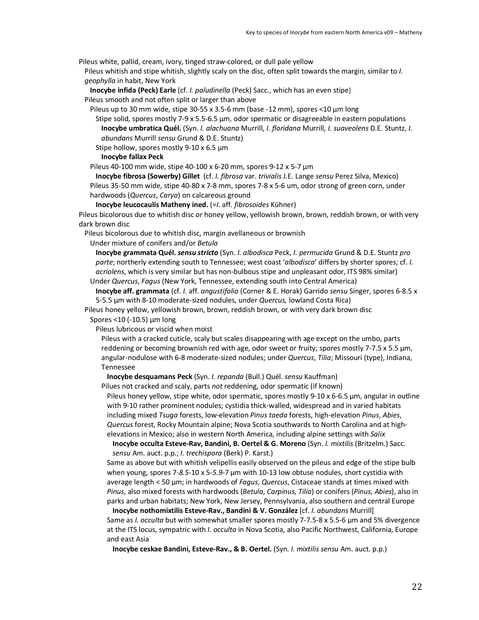Pileus white, pallid, cream, ivory, tinged straw-colored, or dull pale yellow

Pileus whitish and stipe whitish, slightly scaly on the disc, often split towards the margin, similar to *I. geophylla* in habit, New York

**Inocybe infida (Peck) Earle** (cf. *I. paludinella* (Peck) Sacc., which has an even stipe]

Pileus smooth and not often split or larger than above

Pileus up to 30 mm wide, stipe  $30-55 \times 3.5-6$  mm (base  $-12$  mm), spores  $\lt 10$  um long

Stipe solid, spores mostly 7-9 x 5.5-6.5 µm, odor spermatic or disagreeable in eastern populations **Inocybe umbratica Quél.** (Syn. *I. alachuana* Murrill, *I. floridana* Murrill*, I. suaveolens* D.E. Stuntz, *I. abundans* Murrill *sensu* Grund & D.E. Stuntz)

Stipe hollow, spores mostly 9-10 x 6.5  $\mu$ m

**Inocybe fallax Peck**

Pileus 40-100 mm wide, stipe 40-100 x 6-20 mm, spores 9-12 x 5-7 µm

**Inocybe fibrosa (Sowerby) Gillet** (cf. *I. fibrosa* var. *trivialis* J.E. Lange *sensu* Perez Silva, Mexico) Pileus 35-50 mm wide, stipe 40-80 x 7-8 mm, spores 7-8 x 5-6 um, odor strong of green corn, under hardwoods (*Quercus*, *Carya*) on calcareous ground

**Inocybe leucocaulis Matheny ined.** (=*I*. aff. *fibrosoides* Kühner)

Pileus bicolorous due to whitish disc *or* honey yellow, yellowish brown, brown, reddish brown, or with very dark brown disc

Pileus bicolorous due to whitish disc, margin avellaneous or brownish

Under mixture of conifers and/or *Betula*

**Inocybe grammata Quél.** *sensu stricto* (Syn. *I. albodisca* Peck, *I. permucida* Grund & D.E. Stuntz *pro parte*; northerly extending south to Tennessee; west coast '*albodisca*' differs by shorter spores; cf. *I. acriolens*, which is very similar but has non-bulbous stipe and unpleasant odor, ITS 98% similar) Under *Quercus*, *Fagus* (New York, Tennessee, extending south into Central America)

**Inocybe aff. grammata** (cf. *I.* aff. *angustifolia* (Corner & E. Horak) Garrido *sensu* Singer, spores 6-8.5 x

5-5.5 µm with 8-10 moderate-sized nodules, under *Quercus,* lowland Costa Rica)

Pileus honey yellow, yellowish brown, brown, reddish brown, or with very dark brown disc

Spores <10 (-10.5) µm long

Pileus lubricous or viscid when moist

Pileus with a cracked cuticle, scaly but scales disappearing with age except on the umbo, parts reddening or becoming brownish red with age, odor sweet or fruity; spores mostly 7-7.5 x 5.5  $\mu$ m, angular-nodulose with 6-8 moderate-sized nodules; under *Quercus*, *Tilia*; Missouri (type), Indiana, Tennessee

**Inocybe desquamans Peck** (Syn. *I. repanda* (Bull.) Quél. *sensu* Kauffman)

Pilues not cracked and scaly, parts *not* reddening, odor spermatic (if known)

Pileus honey yellow, stipe white, odor spermatic, spores mostly 9-10 x 6-6.5 µm, angular in outline with 9-10 rather prominent nodules; cystidia thick-walled, widespread and in varied habitats including mixed *Tsuga* forests, low-elevation *Pinus taeda* forests, high-elevation *Pinus*, *Abies*, *Quercus* forest, Rocky Mountain alpine; Nova Scotia southwards to North Carolina and at highelevations in Mexico; also in western North America, including alpine settings with *Salix*

**Inocybe occulta Esteve-Rav, Bandini, B. Oertel & G. Moreno** (Syn. *I. mixtilis* (Britzelm.) Sacc. *sensu* Am. auct. p.p.; *I. trechispora* (Berk) P. Karst.)

Same as above but with whitish velipellis easily observed on the pileus and edge of the stipe bulb when young, spores 7-*8.5*-10 x 5-*5.9*-7 µm with 10-13 low obtuse nodules, short cystidia with average length < 50 µm; in hardwoods of *Fagus*, *Quercus*, Cistaceae stands at times mixed with *Pinus*, also mixed forests with hardwoods (*Betula*, *Carpinus*, *Tilia*) or conifers (*Pinus*, *Abies*), also in parks and urban habitats; New York, New Jersey, Pennsylvania, also southern and central Europe

**Inocybe nothomixtilis Esteve-Rav., Bandini & V. González** [cf. *I. abundans* Murrill] Same as *I. occulta* but with somewhat smaller spores mostly 7-7.5-8 x 5.5-6 µm and 5% divergence at the ITS locus, sympatric with *I. occulta* in Nova Scotia, also Pacific Northwest, California, Europe and east Asia

**Inocybe ceskae Bandini, Esteve-Rav., & B. Oertel.** (Syn. *I. mixtilis sensu* Am. auct. p.p.)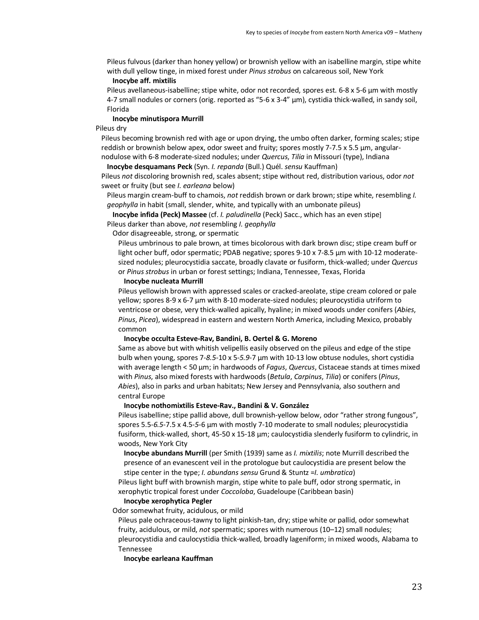Pileus fulvous (darker than honey yellow) or brownish yellow with an isabelline margin, stipe white with dull yellow tinge, in mixed forest under *Pinus strobus* on calcareous soil, New York

#### **Inocybe aff. mixtilis**

Pileus avellaneous-isabelline; stipe white, odor not recorded, spores est. 6-8 x 5-6 µm with mostly 4-7 small nodules or corners (orig. reported as "5-6 x 3-4" µm), cystidia thick-walled, in sandy soil, Florida

#### **Inocybe minutispora Murrill**

Pileus dry

Pileus becoming brownish red with age or upon drying, the umbo often darker, forming scales; stipe reddish or brownish below apex, odor sweet and fruity; spores mostly 7-7.5 x 5.5 µm, angularnodulose with 6-8 moderate-sized nodules; under *Quercus*, *Tilia* in Missouri (type), Indiana

**Inocybe desquamans Peck** (Syn. *I. repanda* (Bull.) Quél. *sensu* Kauffman)

Pileus *not* discoloring brownish red, scales absent; stipe without red, distribution various, odor *not* sweet or fruity (but see *I. earleana* below)

Pileus margin cream-buff to chamois, *not* reddish brown or dark brown; stipe white, resembling *I. geophylla* in habit (small, slender, white, and typically with an umbonate pileus)

**Inocybe infida (Peck) Massee** (cf. *I. paludinella* (Peck) Sacc., which has an even stipe] Pileus darker than above, *not* resembling *I. geophylla*

Odor disagreeable, strong, or spermatic

Pileus umbrinous to pale brown, at times bicolorous with dark brown disc; stipe cream buff or light ocher buff, odor spermatic; PDAB negative; spores 9-10 x 7-8.5 µm with 10-12 moderatesized nodules; pleurocystidia saccate, broadly clavate or fusiform, thick-walled; under *Quercus* or *Pinus strobus* in urban or forest settings; Indiana, Tennessee, Texas, Florida

#### **Inocybe nucleata Murrill**

Pileus yellowish brown with appressed scales or cracked-areolate, stipe cream colored or pale yellow; spores 8-9 x 6-7 µm with 8-10 moderate-sized nodules; pleurocystidia utriform to ventricose or obese, very thick-walled apically, hyaline; in mixed woods under conifers (*Abies*, *Pinus*, *Picea*), widespread in eastern and western North America, including Mexico, probably common

#### **Inocybe occulta Esteve-Rav, Bandini, B. Oertel & G. Moreno**

Same as above but with whitish velipellis easily observed on the pileus and edge of the stipe bulb when young, spores 7-*8.5*-10 x 5-*5.9*-7 µm with 10-13 low obtuse nodules, short cystidia with average length < 50 µm; in hardwoods of *Fagus*, *Quercus*, Cistaceae stands at times mixed with *Pinus*, also mixed forests with hardwoods (*Betula*, *Carpinus*, *Tilia*) or conifers (*Pinus*, *Abies*), also in parks and urban habitats; New Jersey and Pennsylvania, also southern and central Europe

# **Inocybe nothomixtilis Esteve-Rav., Bandini & V. González**

Pileus isabelline; stipe pallid above, dull brownish-yellow below, odor "rather strong fungous", spores 5.5-*6.5*-7.5 x 4.5-*5*-6 µm with mostly 7-10 moderate to small nodules; pleurocystidia fusiform, thick-walled, short, 45-50 x 15-18 µm; caulocystidia slenderly fusiform to cylindric, in woods, New York City

**Inocybe abundans Murrill** (per Smith (1939) same as *I. mixtilis*; note Murrill described the presence of an evanescent veil in the protologue but caulocystidia are present below the stipe center in the type; *I. abundans sensu* Grund & Stuntz =*I. umbratica*)

Pileus light buff with brownish margin, stipe white to pale buff, odor strong spermatic, in xerophytic tropical forest under *Coccoloba*, Guadeloupe (Caribbean basin)

#### **Inocybe xerophytica Pegler**

Odor somewhat fruity, acidulous, or mild

Pileus pale ochraceous-tawny to light pinkish-tan, dry; stipe white or pallid, odor somewhat fruity, acidulous, or mild, *not* spermatic; spores with numerous (10–12) small nodules; pleurocystidia and caulocystidia thick-walled, broadly lageniform; in mixed woods, Alabama to Tennessee

**Inocybe earleana Kauffman**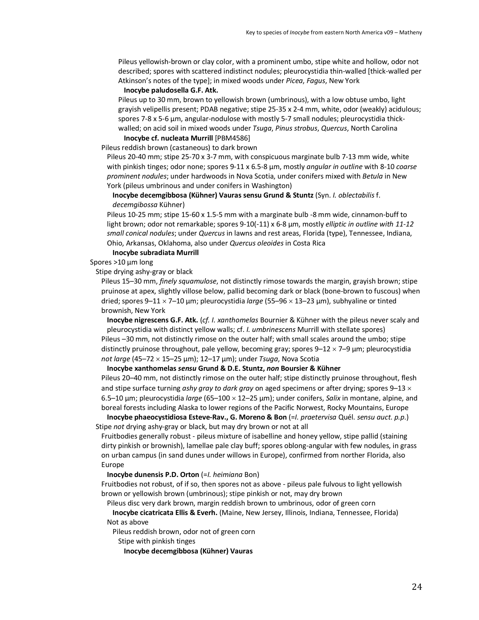Pileus yellowish-brown or clay color, with a prominent umbo, stipe white and hollow, odor not described; spores with scattered indistinct nodules; pleurocystidia thin-walled [thick-walled per Atkinson's notes of the type]; in mixed woods under *Picea*, *Fagus*, New York

## **Inocybe paludosella G.F. Atk.**

Pileus up to 30 mm, brown to yellowish brown (umbrinous), with a low obtuse umbo, light grayish velipellis present; PDAB negative; stipe 25-35 x 2-4 mm, white, odor (weakly) acidulous; spores 7-8 x 5-6 µm, angular-nodulose with mostly 5-7 small nodules; pleurocystidia thickwalled; on acid soil in mixed woods under *Tsuga*, *Pinus strobus*, *Quercus*, North Carolina

## **Inocybe cf. nucleata Murrill** [PBM4586]

Pileus reddish brown (castaneous) to dark brown

Pileus 20-40 mm; stipe 25-70 x 3-7 mm, with conspicuous marginate bulb 7-13 mm wide, white with pinkish tinges; odor none; spores 9-11 x 6.5-8 µm, mostly *angular in outline* with 8-10 *coarse prominent nodules*; under hardwoods in Nova Scotia, under conifers mixed with *Betula* in New York (pileus umbrinous and under conifers in Washington)

**Inocybe decemgibbosa (Kühner) Vauras sensu Grund & Stuntz** (Syn. *I. oblectabilis* f. *decemgibossa* Kühner)

Pileus 10-25 mm; stipe 15-60 x 1.5-5 mm with a marginate bulb -8 mm wide, cinnamon-buff to light brown; odor not remarkable; spores 9-10(-11) x 6-8 µm, mostly *elliptic in outline with 11-12 small conical nodules*; under *Quercus* in lawns and rest areas, Florida (type), Tennessee, Indiana, Ohio, Arkansas, Oklahoma, also under *Quercus oleoides* in Costa Rica

## **Inocybe subradiata Murrill**

Spores >10 µm long

Stipe drying ashy-gray or black

Pileus 15–30 mm, *finely squamulose*, not distinctly rimose towards the margin, grayish brown; stipe pruinose at apex, slightly villose below, pallid becoming dark or black (bone-brown to fuscous) when dried; spores 9-11 × 7-10 μm; pleurocystidia *large* (55-96 × 13-23 μm), subhyaline or tinted brownish, New York

**Inocybe nigrescens G.F. Atk.** (*cf. I. xanthomelas* Bournier & Kühner with the pileus never scaly and pleurocystidia with distinct yellow walls; cf. *I. umbrinescens* Murrill with stellate spores) Pileus –30 mm, not distinctly rimose on the outer half; with small scales around the umbo; stipe distinctly pruinose throughout, pale yellow, becoming gray; spores  $9-12 \times 7-9$  µm; pleurocystidia *not large* (45–72 × 15–25 μm); 12–17 μm); under *Tsuga*, Nova Scotia

#### **Inocybe xanthomelas** *sensu* **Grund & D.E. Stuntz,** *non* **Boursier & Kühner**

Pileus 20–40 mm, not distinctly rimose on the outer half; stipe distinctly pruinose throughout, flesh and stipe surface turning *ashy gray to dark gray* on aged specimens or after drying; spores 9–13 ´ 6.5–10 µm; pleurocystidia *large* (65–100 × 12–25 µm); under conifers, *Salix* in montane, alpine, and boreal forests including Alaska to lower regions of the Pacific Norwest, Rocky Mountains, Europe

**Inocybe phaeocystidiosa Esteve-Rav., G. Moreno & Bon** (=*I. praetervisa* Quél. *sensu auct*. *p.p*.) Stipe *not* drying ashy-gray or black, but may dry brown or not at all

Fruitbodies generally robust - pileus mixture of isabelline and honey yellow, stipe pallid (staining dirty pinkish or brownish), lamellae pale clay buff; spores oblong-angular with few nodules, in grass on urban campus (in sand dunes under willows in Europe), confirmed from norther Florida, also Europe

**Inocybe dunensis P.D. Orton** (=*I. heimiana* Bon)

Fruitbodies not robust, of if so, then spores not as above - pileus pale fulvous to light yellowish brown or yellowish brown (umbrinous); stipe pinkish or not, may dry brown

Pileus disc very dark brown, margin reddish brown to umbrinous, odor of green corn

**Inocybe cicatricata Ellis & Everh.** (Maine, New Jersey, Illinois, Indiana, Tennessee, Florida) Not as above

Pileus reddish brown, odor not of green corn

Stipe with pinkish tinges

**Inocybe decemgibbosa (Kühner) Vauras**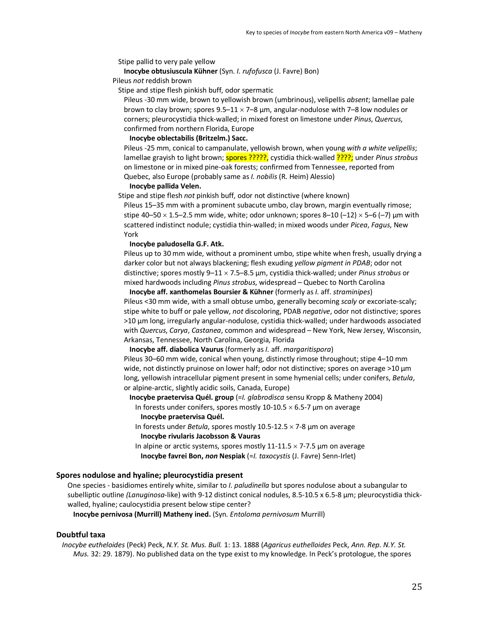Stipe pallid to very pale yellow

# **Inocybe obtusiuscula Kühner** (Syn. *I. rufofusca* (J. Favre) Bon)

Pileus *not* reddish brown

Stipe and stipe flesh pinkish buff, odor spermatic

Pileus -30 mm wide, brown to yellowish brown (umbrinous), velipellis *absent*; lamellae pale brown to clay brown; spores  $9.5-11 \times 7-8$  µm, angular-nodulose with 7-8 low nodules or corners; pleurocystidia thick-walled; in mixed forest on limestone under *Pinus*, *Quercus*, confirmed from northern Florida, Europe

#### **Inocybe oblectabilis (Britzelm.) Sacc.**

Pileus -25 mm, conical to campanulate, yellowish brown, when young *with a white velipellis*; lamellae grayish to light brown; spores ?????, cystidia thick-walled ????; under *Pinus strobus* on limestone or in mixed pine-oak forests; confirmed from Tennessee, reported from Quebec, also Europe (probably same as *I. nobilis* (R. Heim) Alessio)

#### **Inocybe pallida Velen.**

Stipe and stipe flesh *not* pinkish buff, odor not distinctive (where known)

Pileus 15–35 mm with a prominent subacute umbo, clay brown, margin eventually rimose; stipe 40–50  $\times$  1.5–2.5 mm wide, white; odor unknown; spores 8–10 (–12)  $\times$  5–6 (–7) µm with scattered indistinct nodule; cystidia thin-walled; in mixed woods under *Picea*, *Fagus*, New York

## **Inocybe paludosella G.F. Atk.**

Pileus up to 30 mm wide, without a prominent umbo, stipe white when fresh, usually drying a darker color but not always blackening; flesh exuding *yellow pigment in PDAB*; odor not distinctive; spores mostly 9–11 × 7.5–8.5 µm, cystidia thick-walled; under *Pinus strobus* or mixed hardwoods including *Pinus strobus*, widespread – Quebec to North Carolina

**Inocybe aff. xanthomelas Boursier & Kühner** (formerly as *I.* aff. *straminipes*) Pileus <30 mm wide, with a small obtuse umbo, generally becoming *scaly* or excoriate-scaly; stipe white to buff or pale yellow, *not* discoloring, PDAB *negative*, odor not distinctive; spores >10 µm long, irregularly angular-nodulose, cystidia thick-walled; under hardwoods associated with *Quercus*, *Carya*, *Castanea*, common and widespread – New York, New Jersey, Wisconsin, Arkansas, Tennessee, North Carolina, Georgia, Florida

**Inocybe aff. diabolica Vaurus** (formerly as *I.* aff. *margaritispora*)

Pileus 30–60 mm wide, conical when young, distinctly rimose throughout; stipe 4–10 mm wide, not distinctly pruinose on lower half; odor not distinctive; spores on average >10 µm long, yellowish intracellular pigment present in some hymenial cells; under conifers, *Betula*, or alpine-arctic, slightly acidic soils, Canada, Europe)

**Inocybe praetervisa Quél. group** (=*I. glabrodisca* sensu Kropp & Matheny 2004) In forests under conifers, spores mostly 10-10.5  $\times$  6.5-7 µm on average **Inocybe praetervisa Quél.**

In forests under *Betula*, spores mostly 10.5-12.5 × 7-8 µm on average **Inocybe rivularis Jacobsson & Vauras**

In alpine or arctic systems, spores mostly  $11-11.5 \times 7-7.5$  µm on average **Inocybe favrei Bon,** *non* **Nespiak** (=*I. taxocystis* (J. Favre) Senn-Irlet)

### **Spores nodulose and hyaline; pleurocystidia present**

One species - basidiomes entirely white, similar to *I. paludinella* but spores nodulose about a subangular to subelliptic outline *(Lanuginosa*-like) with 9-12 distinct conical nodules, 8.5-10.5 x 6.5-8 µm; pleurocystidia thickwalled, hyaline; caulocystidia present below stipe center?

**Inocybe pernivosa (Murrill) Matheny ined.** (Syn. *Entoloma pernivosum* Murrill)

# **Doubtful taxa**

*Inocybe eutheloides* (Peck) Peck, *N.Y. St. Mus. Bull.* 1: 13. 1888 (*Agaricus euthelloides* Peck, *Ann. Rep. N.Y. St. Mus.* 32: 29. 1879). No published data on the type exist to my knowledge. In Peck's protologue, the spores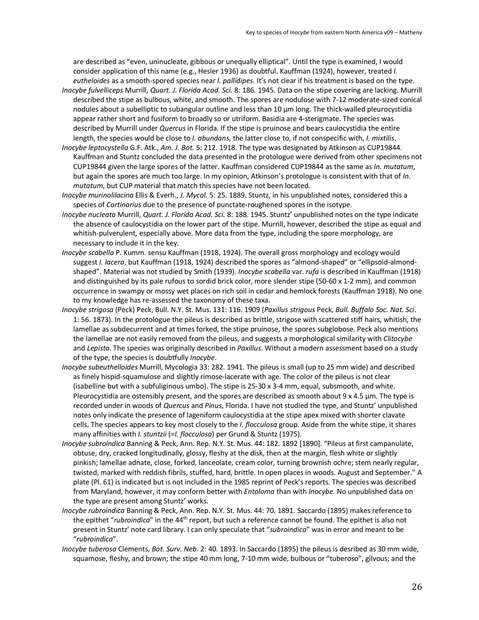are described as "even, uninucleate, gibbous or unequally elliptical". Until the type is examined, I would consider application of this name (e.g., Hesler 1936) as doubtful. Kauffman (1924), however, treated *I. eutheloides* as a smooth-spored species near *I. pallidipes*. It's not clear if his treatment is based on the type.

- *Inocybe fulvelliceps* Murrill, *Quart. J. Florida Acad. Sci.* 8: 186. 1945. Data on the stipe covering are lacking. Murrill described the stipe as bulbous, white, and smooth. The spores are nodulose with 7-12 moderate-sized conical nodules about a subelliptic to subangular outline and less than 10 µm long. The thick-walled pleurocystidia appear rather short and fusiform to broadly so or utriform. Basidia are 4-sterigmate. The species was described by Murrill under *Quercus* in Florida. If the stipe is pruinose and bears caulocystidia the entire length, the species would be close to *I. abundans*, the latter close to, if not conspecific with, *I. mixtilis*.
- *Inocybe leptocystella* G.F. Atk., *Am. J. Bot.* 5: 212. 1918. The type was designated by Atkinson as CUP19844. Kauffman and Stuntz concluded the data presented in the protologue were derived from other specimens not CUP19844 given the large spores of the latter. Kauffman considered CUP19844 as the same as *In. mutatum*, but again the spores are much too large. In my opinion, Atkinson's protologue is consistent with that of *In. mutatum*, but CUP material that match this species have not been located.
- *Inocybe murinolilacina* Ellis & Everh., *J. Mycol.* 5: 25. 1889. Stuntz, in his unpublished notes, considered this a species of *Cortinarius* due to the presence of punctate-roughened spores in the isotype.
- *Inocybe nucleata* Murrill, *Quart. J. Florida Acad. Sci.* 8: 188. 1945. Stuntz' unpublished notes on the type indicate the absence of caulocystidia on the lower part of the stipe. Murrill, however, described the stipe as equal and whitish-pulverulent, especially above. More data from the type, including the spore morphology, are necessary to include it in the key.
- *Inocybe scabella* P. Kumm. sensu Kauffman (1918, 1924). The overall gross morphology and ecology would suggest *I. lacera*, but Kauffman (1918, 1924) described the spores as "almond-shaped" or "ellipsoid-almondshaped". Material was not studied by Smith (1939). *Inocybe scabella* var. *rufa* is described in Kauffman (1918) and distinguished by its pale rufous to sordid brick color, more slender stipe (50-60 x 1-2 mm), and common occurrence in swampy or mossy wet places on rich soil in cedar and hemlock forests (Kauffman 1918). No one to my knowledge has re-assessed the taxonomy of these taxa.
- *Inocybe strigosa* (Peck) Peck, Bull. N.Y. St. Mus. 131: 116. 1909 (*Paxillus strigous* Peck, *Bull. Buffalo Soc. Nat. Sci*. 1: 56. 1873). In the protologue the pileus is described as brittle, strigose with scattered stiff hairs, whitish, the lamellae as subdecurrent and at times forked, the stipe pruinose, the spores subglobose. Peck also mentions the lamellae are not easily removed from the pileus, and suggests a morphological similarity with *Clitocybe*  and *Lepista*. The species was originally described in *Paxillus*. Without a modern assessment based on a study of the type, the species is doubtfully *Inocybe*.
- *Inocybe subeuthelloides* Murrill, Mycologia 33: 282. 1941. The pileus is small (up to 25 mm wide) and described as finely hispid-squamulose and slightly rimose-lacerate with age. The color of the pileus is not clear (isabelline but with a subfuliginous umbo). The stipe is 25-30 x 3-4 mm, equal, subsmooth, and white. Pleurocystidia are ostensibly present, and the spores are described as smooth about 9 x 4.5 µm. The type is recorded under in woods of *Quercus* and *Pinus*, Florida. I have not studied the type, and Stuntz' unpublished notes only indicate the presence of lageniform caulocystidia at the stipe apex mixed with shorter clavate cells. The species appears to key most closely to the *I. flocculosa* group. Aside from the white stipe, it shares many affinities with *I. stuntzii* (=*I. flocculosa*) per Grund & Stuntz (1975).
- *Inocybe subroindica* Banning & Peck, Ann. Rep. N.Y. St. Mus. 44: 182. 1892 [1890]. "Pileus at first campanulate, obtuse, dry, cracked longitudinally, glossy, fleshy at the disk, then at the margin, flesh white or slightly pinkish; lamellae adnate, close, forked, lanceolate, cream color, turning brownish ochre; stem nearly regular, twisted, marked with reddish fibrils, stuffed, hard, brittle. In open places in woods. August and September." A plate (Pl. 61) is indicated but is not included in the 1985 reprint of Peck's reports. The species was described from Maryland, however, it may conform better with *Entoloma* than with *Inocybe.* No unpublished data on the type are present among Stuntz' works.
- *Inocybe rubroindica* Banning & Peck, Ann. Rep. N.Y. St. Mus. 44: 70. 1891. Saccardo (1895) makes reference to the epithet "*rubroindica*" in the 44th report, but such a reference cannot be found. The epithet is also not present in Stuntz' note card library. I can only speculate that "*subroindica*" was in error and meant to be "*rubroindica*".
- *Inocybe tuberosa* Clements, *Bot. Surv. Neb.* 2: 40. 1893. In Saccardo (1895) the pileus is desribed as 30 mm wide, squamose, fleshy, and brown; the stipe 40 mm long, 7-10 mm wide, bulbous or "tuberoso", gilvous; and the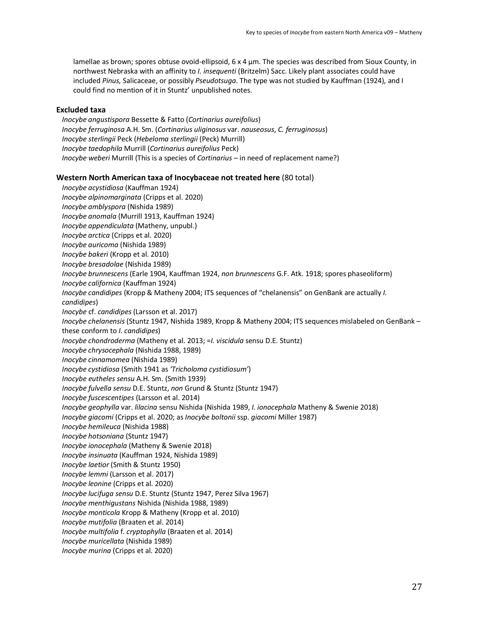lamellae as brown; spores obtuse ovoid-ellipsoid, 6 x 4 µm. The species was described from Sioux County, in northwest Nebraska with an affinity to *I. insequenti* (Britzelm) Sacc. Likely plant associates could have included *Pinus,* Salicaceae, or possibly *Pseudotsuga*. The type was not studied by Kauffman (1924), and I could find no mention of it in Stuntz' unpublished notes.

# **Excluded taxa**

*Inocybe angustispora* Bessette & Fatto (*Cortinarius aureifolius*) *Inocybe ferruginosa* A.H. Sm. (*Cortinarius uliginosus* var. *nauseosus*, *C. ferruginosus*) *Inocybe sterlingii* Peck (*Hebeloma sterlingii* (Peck) Murrill) *Inocybe taedophila* Murrill (*Cortinarius aureifolius* Peck) *Inocybe weberi* Murrill (This is a species of *Cortinarius* – in need of replacement name?)

### **Western North American taxa of Inocybaceae not treated here** (80 total)

*Inocybe acystidiosa* (Kauffman 1924) *Inocybe alpinomarginata* (Cripps et al. 2020) *Inocybe amblyspora* (Nishida 1989) *Inocybe anomala* (Murrill 1913, Kauffman 1924) *Inocybe appendiculata* (Matheny, unpubl.) *Inocybe arctica* (Cripps et al. 2020) *Inocybe auricoma* (Nishida 1989) *Inocybe bakeri* (Kropp et al. 2010) *Inocybe bresadolae* (Nishida 1989) *Inocybe brunnescens* (Earle 1904, Kauffman 1924, *non brunnescens* G.F. Atk. 1918; spores phaseoliform) *Inocybe californica* (Kauffman 1924) *Inocybe candidipes* (Kropp & Matheny 2004; ITS sequences of "chelanensis" on GenBank are actually *I. candidipes*) *Inocybe* cf. *candidipes* (Larsson et al. 2017) *Inocybe chelanensis* (Stuntz 1947, Nishida 1989, Kropp & Matheny 2004; ITS sequences mislabeled on GenBank – these conform to *I. candidipes*) *Inocybe chondroderma* (Matheny et al. 2013; =*I. viscidula* sensu D.E. Stuntz) *Inocybe chrysocephala* (Nishida 1988, 1989) *Inocybe cinnamomea* (Nishida 1989) *Inocybe cystidiosa* (Smith 1941 as *'Tricholoma cystidiosum'*) *Inocybe eutheles sensu* A.H. Sm. (Smith 1939) *Inocybe fulvella sensu* D.E. Stuntz, *non* Grund & Stuntz (Stuntz 1947) *Inocybe fuscescentipes* (Larsson et al. 2014) *Inocybe geophylla* var. *lilacina* sensu Nishida (Nishida 1989, *I. ionocephala* Matheny & Swenie 2018) *Inocybe giacomi* (Cripps et al. 2020; as *Inocybe boltonii* ssp. *giacomi* Miller 1987) *Inocybe hemileuca* (Nishida 1988) *Inocybe hotsoniana* (Stuntz 1947) *Inocybe ionocephala* (Matheny & Swenie 2018) *Inocybe insinuata* (Kauffman 1924, Nishida 1989) *Inocybe laetior* (Smith & Stuntz 1950) *Inocybe lemmi* (Larsson et al. 2017) *Inocybe leonine* (Cripps et al. 2020) *Inocybe lucifuga sensu* D.E. Stuntz (Stuntz 1947, Perez Silva 1967) *Inocybe menthigustans* Nishida (Nishida 1988, 1989) *Inocybe monticola* Kropp & Matheny (Kropp et al. 2010) *Inocybe mutifolia* (Braaten et al. 2014) *Inocybe multifolia* f. *cryptophylla* (Braaten et al. 2014) *Inocybe muricellata* (Nishida 1989) *Inocybe murina* (Cripps et al. 2020)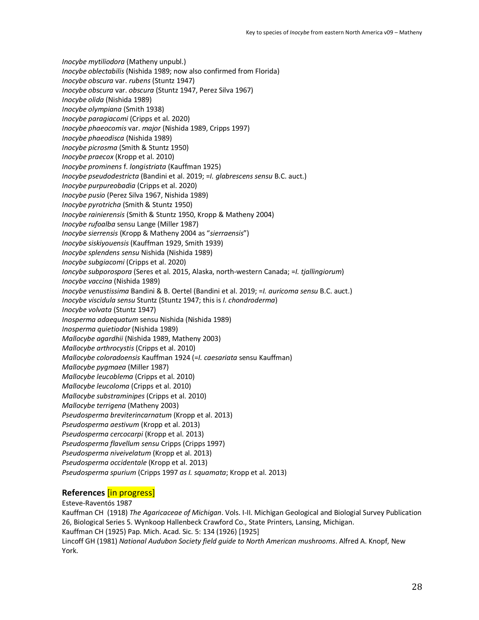*Inocybe mytiliodora* (Matheny unpubl.) *Inocybe oblectabilis* (Nishida 1989; now also confirmed from Florida) *Inocybe obscura* var. *rubens* (Stuntz 1947) *Inocybe obscura* var. *obscura* (Stuntz 1947, Perez Silva 1967) *Inocybe olida* (Nishida 1989) *Inocybe olympiana* (Smith 1938) *Inocybe paragiacomi* (Cripps et al. 2020) *Inocybe phaeocomis* var. *major* (Nishida 1989, Cripps 1997) *Inocybe phaeodisca* (Nishida 1989) *Inocybe picrosma* (Smith & Stuntz 1950) *Inocybe praecox* (Kropp et al. 2010) *Inocybe prominens* f. *longistriata* (Kauffman 1925) *Inocybe pseudodestricta* (Bandini et al. 2019; =*I. glabrescens sensu* B.C. auct.) *Inocybe purpureobadia* (Cripps et al. 2020) *Inocybe pusio* (Perez Silva 1967, Nishida 1989) *Inocybe pyrotricha* (Smith & Stuntz 1950) *Inocybe rainierensis* (Smith & Stuntz 1950, Kropp & Matheny 2004) *Inocybe rufoalba* sensu Lange (Miller 1987) *Inocybe sierrensis* (Kropp & Matheny 2004 as "*sierraensis*") *Inocybe siskiyouensis* (Kauffman 1929, Smith 1939) *Inocybe splendens sensu* Nishida (Nishida 1989) *Inocybe subgiacomi* (Cripps et al. 2020) *Ioncybe subporospora* (Seres et al. 2015, Alaska, north-western Canada; =*I. tjallingiorum*) *Inocybe vaccina* (Nishida 1989) *Inocybe venustissima* Bandini & B. Oertel (Bandini et al. 2019; =*I. auricoma sensu* B.C. auct.) *Inocybe viscidula sensu* Stuntz (Stuntz 1947; this is *I. chondroderma*) *Inocybe volvata* (Stuntz 1947) *Inosperma adaequatum* sensu Nishida (Nishida 1989) *Inosperma quietiodor* (Nishida 1989) *Mallocybe agardhii* (Nishida 1989, Matheny 2003) *Mallocybe arthrocystis* (Cripps et al. 2010) *Mallocybe coloradoensis* Kauffman 1924 (=*I. caesariata* sensu Kauffman) *Mallocybe pygmaea* (Miller 1987) *Mallocybe leucoblema* (Cripps et al. 2010) *Mallocybe leucoloma* (Cripps et al. 2010) *Mallocybe substraminipes* (Cripps et al. 2010) *Mallocybe terrigena* (Matheny 2003) *Pseudosperma breviterincarnatum* (Kropp et al. 2013) *Pseudosperma aestivum* (Kropp et al. 2013) *Pseudosperma cercocarpi* (Kropp et al. 2013) *Pseudosperma flavellum sensu* Cripps (Cripps 1997) *Pseudosperma niveivelatum* (Kropp et al. 2013) *Pseudosperma occidentale* (Kropp et al. 2013) *Pseudosperma spurium* (Cripps 1997 *as I. squamata*; Kropp et al. 2013)

# **References** [in progress]

Esteve-Raventós 1987 Kauffman CH (1918) *The Agaricaceae of Michigan*. Vols. I-II. Michigan Geological and Biologial Survey Publication 26, Biological Series 5. Wynkoop Hallenbeck Crawford Co., State Printers, Lansing, Michigan. Kauffman CH (1925) Pap. Mich. Acad. Sic. 5: 134 (1926) [1925] Lincoff GH (1981) *National Audubon Society field guide to North American mushrooms*. Alfred A. Knopf, New York.